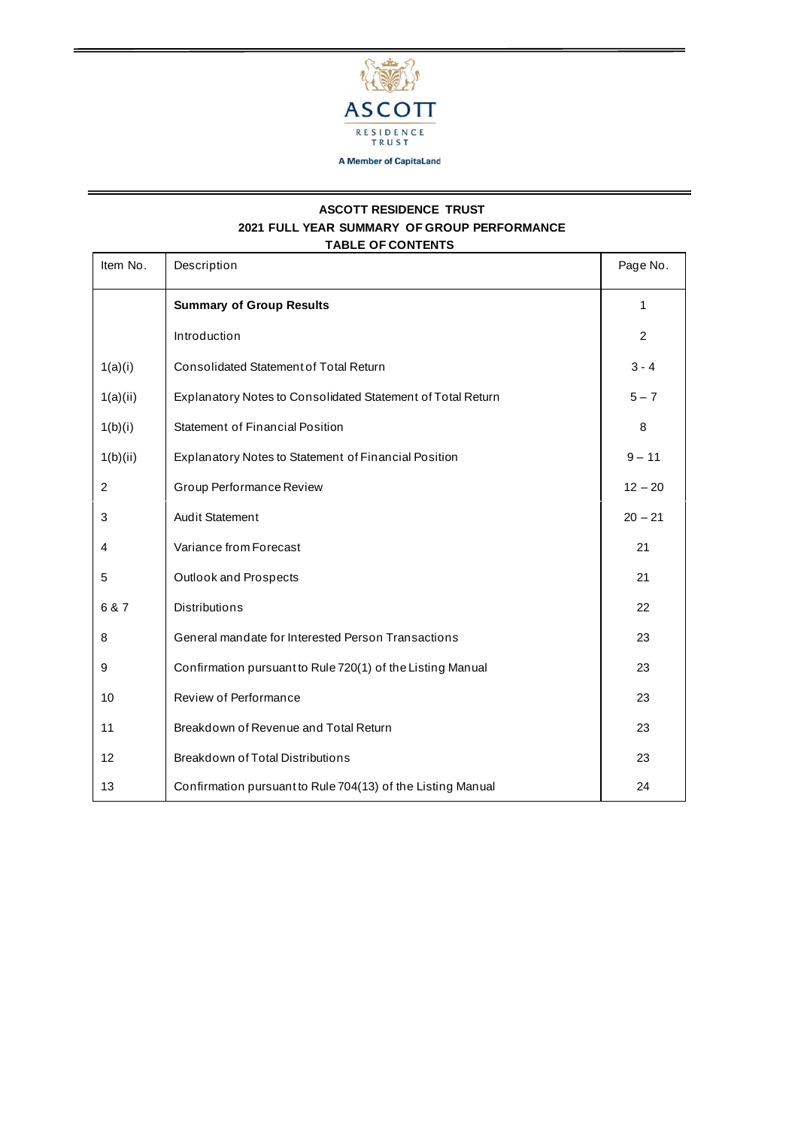

## **ASCOTT RESIDENCE TRUST 2021 FULL YEAR SUMMARY OF GROUP PERFORMANCE TABLE OF CONTENTS**

| Item No.       | Description                                                 | Page No.  |
|----------------|-------------------------------------------------------------|-----------|
|                | <b>Summary of Group Results</b>                             | 1         |
|                | Introduction                                                | 2         |
| 1(a)(i)        | Consolidated Statement of Total Return                      | $3 - 4$   |
| 1(a)(ii)       | Explanatory Notes to Consolidated Statement of Total Return | $5 - 7$   |
| 1(b)(i)        | Statement of Financial Position                             | 8         |
| 1(b)(ii)       | Explanatory Notes to Statement of Financial Position        | $9 - 11$  |
| $\overline{c}$ | Group Performance Review                                    | $12 - 20$ |
| 3              | <b>Audit Statement</b>                                      | $20 - 21$ |
| 4              | Variance from Forecast                                      | 21        |
| 5              | Outlook and Prospects                                       | 21        |
| 6 & 7          | <b>Distributions</b>                                        | 22        |
| 8              | General mandate for Interested Person Transactions          | 23        |
| 9              | Confirmation pursuant to Rule 720(1) of the Listing Manual  | 23        |
| 10             | Review of Performance                                       | 23        |
| 11             | Breakdown of Revenue and Total Return                       | 23        |
| 12             | <b>Breakdown of Total Distributions</b>                     | 23        |
| 13             | Confirmation pursuant to Rule 704(13) of the Listing Manual | 24        |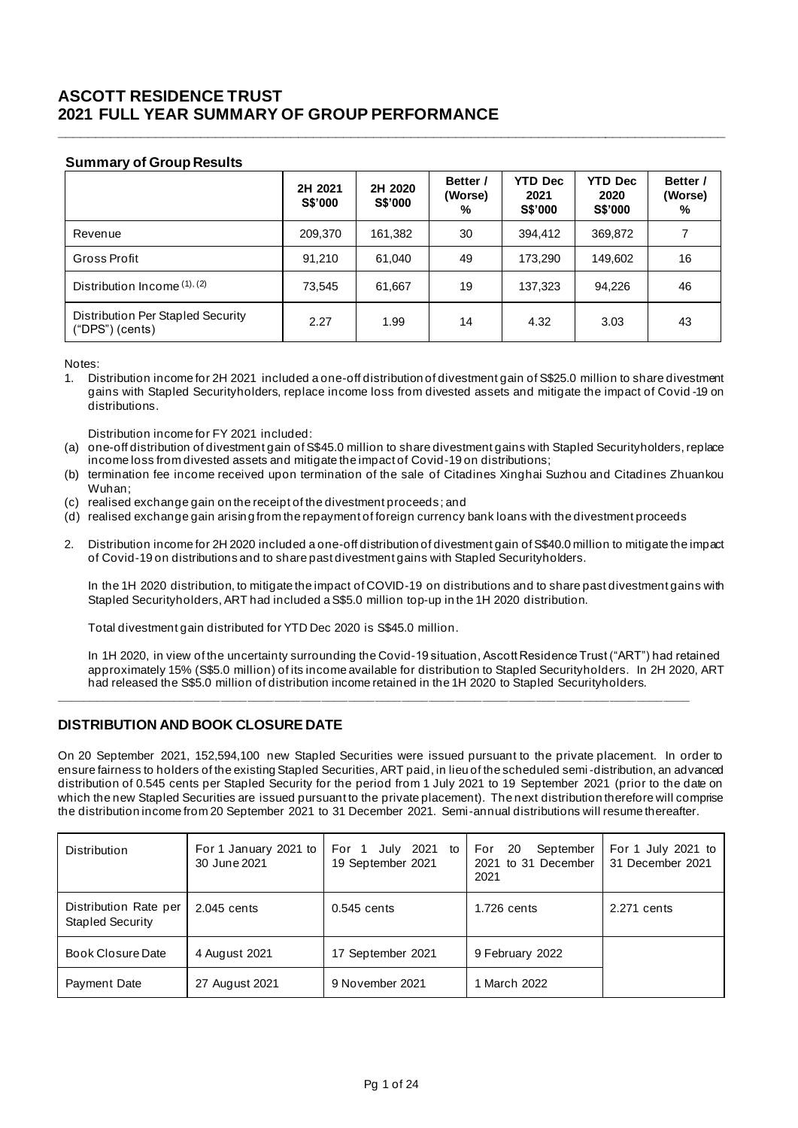# **ASCOTT RESIDENCE TRUST 2021 FULL YEAR SUMMARY OF GROUP PERFORMANCE**

## **Summary of Group Results**

|                                                      | 2H 2021<br><b>S\$'000</b> | 2H 2020<br><b>S\$'000</b> | Better /<br>(Worse)<br>% | <b>YTD Dec</b><br>2021<br><b>S\$'000</b> | <b>YTD Dec</b><br>2020<br><b>S\$'000</b> | Better /<br>(Worse)<br>% |
|------------------------------------------------------|---------------------------|---------------------------|--------------------------|------------------------------------------|------------------------------------------|--------------------------|
| Revenue                                              | 209,370                   | 161,382                   | 30                       | 394.412                                  | 369,872                                  | 7                        |
| Gross Profit                                         | 91,210                    | 61,040                    | 49                       | 173,290                                  | 149,602                                  | 16                       |
| Distribution Income (1), (2)                         | 73,545                    | 61,667                    | 19                       | 137,323                                  | 94.226                                   | 46                       |
| Distribution Per Stapled Security<br>("DPS") (cents) | 2.27                      | 1.99                      | 14                       | 4.32                                     | 3.03                                     | 43                       |

**\_\_\_\_\_\_\_\_\_\_\_\_\_\_\_\_\_\_\_\_\_\_\_\_\_\_\_\_\_\_\_\_\_\_\_\_\_\_\_\_\_\_\_\_\_\_\_\_\_\_\_\_\_\_\_\_\_\_\_\_\_\_\_\_\_\_\_\_\_\_\_\_\_\_\_\_\_\_\_\_\_\_\_\_\_\_\_\_\_**

Notes:

1. Distribution income for 2H 2021 included a one-off distribution of divestment gain of S\$25.0 million to share divestment gains with Stapled Securityholders, replace income loss from divested assets and mitigate the impact of Covid -19 on distributions.

Distribution income for FY 2021 included:

- (a) one-off distribution of divestment gain of S\$45.0 million to share divestment gains with Stapled Securityholders, replace income loss from divested assets and mitigate the impact of Covid-19 on distributions;
- (b) termination fee income received upon termination of the sale of Citadines Xinghai Suzhou and Citadines Zhuankou Wuhan;
- (c) realised exchange gain on the receipt of the divestment proceeds ; and
- (d) realised exchange gain arising from the repayment of foreign currency bank loans with the divestment proceeds
- 2. Distribution income for 2H 2020 included a one-off distribution of divestment gain of S\$40.0 million to mitigate the impact of Covid-19 on distributions and to share past divestment gains with Stapled Securityholders.

In the 1H 2020 distribution, to mitigate the impact of COVID-19 on distributions and to share past divestment gains with Stapled Securityholders, ART had included a S\$5.0 million top-up in the 1H 2020 distribution.

Total divestment gain distributed for YTD Dec 2020 is S\$45.0 million.

In 1H 2020, in view of the uncertainty surrounding the Covid-19 situation, Ascott Residence Trust ("ART") had retained approximately 15% (S\$5.0 million) of its income available for distribution to Stapled Securityholders. In 2H 2020, ART had released the S\$5.0 million of distribution income retained in the 1H 2020 to Stapled Securityholders.

## **DISTRIBUTION AND BOOK CLOSURE DATE**

On 20 September 2021, 152,594,100 new Stapled Securities were issued pursuant to the private placement. In order to ensure fairness to holders of the existing Stapled Securities, ART paid, in lieu of the scheduled semi-distribution, an advanced distribution of 0.545 cents per Stapled Security for the period from 1 July 2021 to 19 September 2021 (prior to the date on which the new Stapled Securities are issued pursuant to the private placement). The next distribution therefore will comprise the distribution income from 20 September 2021 to 31 December 2021. Semi-annual distributions will resume thereafter.

**\_\_\_\_\_\_\_\_\_\_\_\_\_\_\_\_\_\_\_\_\_\_\_\_\_\_\_\_\_\_\_\_\_\_\_\_\_\_\_\_\_\_\_\_\_\_\_\_\_\_\_\_\_\_\_\_\_\_\_\_\_\_\_\_\_\_\_\_\_\_\_\_\_\_\_\_\_\_\_\_\_\_\_\_\_\_\_\_\_\_\_\_\_\_\_**

| <b>Distribution</b>                              | For 1 January 2021 to<br>30 June 2021 | July 2021 to<br>For 1<br>19 September 2021 | September<br>For<br>20<br>2021 to 31 December<br>2021 | For 1 July 2021 to<br>31 December 2021 |
|--------------------------------------------------|---------------------------------------|--------------------------------------------|-------------------------------------------------------|----------------------------------------|
| Distribution Rate per<br><b>Stapled Security</b> | 2.045 cents                           | $0.545$ cents                              | 1.726 cents                                           | 2.271 cents                            |
| Book Closure Date                                | 4 August 2021                         | 17 September 2021                          | 9 February 2022                                       |                                        |
| Payment Date                                     | 27 August 2021                        | 9 November 2021                            | 1 March 2022                                          |                                        |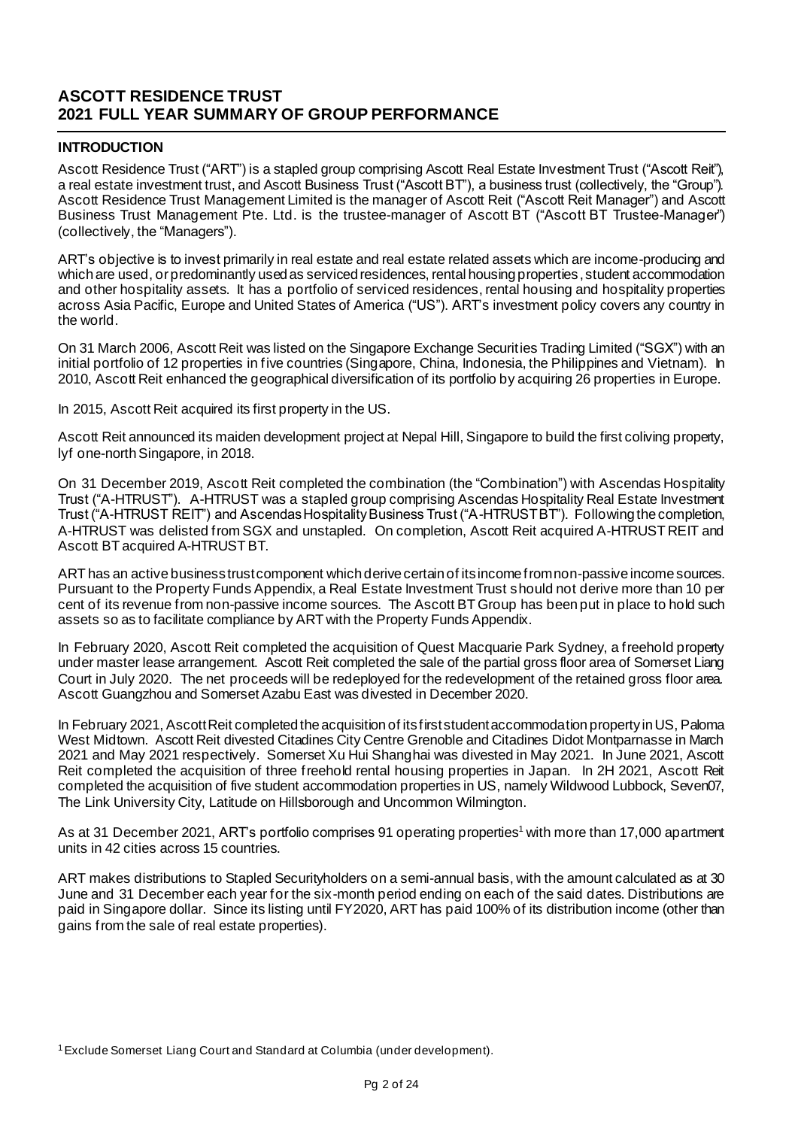# **ASCOTT RESIDENCE TRUST 2021 FULL YEAR SUMMARY OF GROUP PERFORMANCE**

## **INTRODUCTION**

Ascott Residence Trust ("ART") is a stapled group comprising Ascott Real Estate Investment Trust ("Ascott Reit"), a real estate investment trust, and Ascott Business Trust ("Ascott BT"), a business trust (collectively, the "Group"). Ascott Residence Trust Management Limited is the manager of Ascott Reit ("Ascott Reit Manager") and Ascott Business Trust Management Pte. Ltd. is the trustee-manager of Ascott BT ("Ascott BT Trustee-Manager") (collectively, the "Managers").

ART's objective is to invest primarily in real estate and real estate related assets which are income-producing and which are used, or predominantly used as serviced residences, rental housing properties , student accommodation and other hospitality assets. It has a portfolio of serviced residences, rental housing and hospitality properties across Asia Pacific, Europe and United States of America ("US"). ART's investment policy covers any country in the world.

On 31 March 2006, Ascott Reit was listed on the Singapore Exchange Securities Trading Limited ("SGX") with an initial portfolio of 12 properties in five countries (Singapore, China, Indonesia, the Philippines and Vietnam). In 2010, Ascott Reit enhanced the geographical diversification of its portfolio by acquiring 26 properties in Europe.

In 2015, Ascott Reit acquired its first property in the US.

Ascott Reit announced its maiden development project at Nepal Hill, Singapore to build the first coliving property, lyf one-north Singapore, in 2018.

On 31 December 2019, Ascott Reit completed the combination (the "Combination") with Ascendas Hospitality Trust ("A-HTRUST"). A-HTRUST was a stapled group comprising Ascendas Hospitality Real Estate Investment Trust ("A-HTRUST REIT") and Ascendas Hospitality Business Trust ("A-HTRUST BT"). Following the completion, A-HTRUST was delisted from SGX and unstapled. On completion, Ascott Reit acquired A-HTRUST REIT and Ascott BT acquired A-HTRUST BT.

ART has an active business trust component which derive certain of its income from non-passive income sources. Pursuant to the Property Funds Appendix, a Real Estate Investment Trust should not derive more than 10 per cent of its revenue from non-passive income sources. The Ascott BT Group has been put in place to hold such assets so as to facilitate compliance by ART with the Property Funds Appendix.

In February 2020, Ascott Reit completed the acquisition of Quest Macquarie Park Sydney, a freehold property under master lease arrangement. Ascott Reit completed the sale of the partial gross floor area of Somerset Liang Court in July 2020. The net proceeds will be redeployed for the redevelopment of the retained gross floor area. Ascott Guangzhou and Somerset Azabu East was divested in December 2020.

In February 2021, Ascott Reit completed the acquisition of its first student accommodation property in US, Paloma West Midtown. Ascott Reit divested Citadines City Centre Grenoble and Citadines Didot Montparnasse in March 2021 and May 2021 respectively. Somerset Xu Hui Shanghai was divested in May 2021. In June 2021, Ascott Reit completed the acquisition of three freehold rental housing properties in Japan. In 2H 2021, Ascott Reit completed the acquisition of five student accommodation properties in US, namely Wildwood Lubbock, Seven07, The Link University City, Latitude on Hillsborough and Uncommon Wilmington.

As at 31 December 2021, ART's portfolio comprises 91 operating properties<sup>1</sup> with more than 17,000 apartment units in 42 cities across 15 countries.

ART makes distributions to Stapled Securityholders on a semi-annual basis, with the amount calculated as at 30 June and 31 December each year for the six-month period ending on each of the said dates. Distributions are paid in Singapore dollar. Since its listing until FY2020, ART has paid 100% of its distribution income (other than gains from the sale of real estate properties).

<sup>1</sup>Exclude Somerset Liang Court and Standard at Columbia (under development).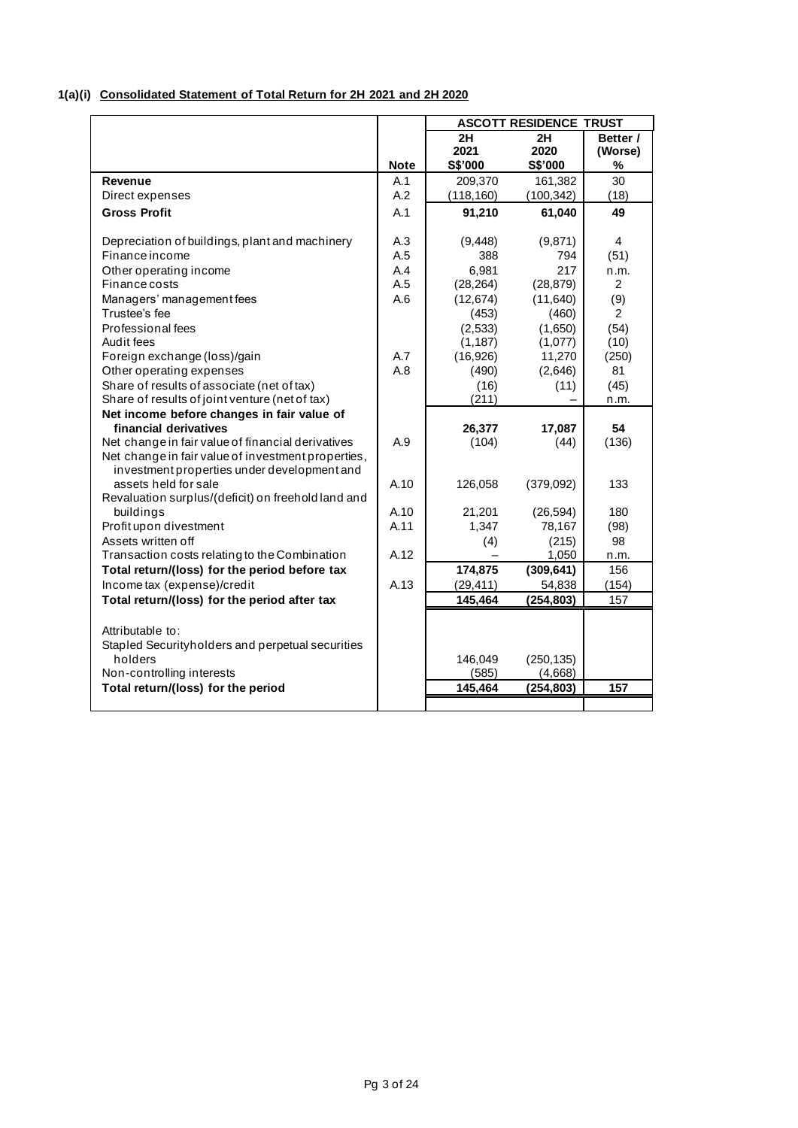## **1(a)(i) Consolidated Statement of Total Return for 2H 2021 and 2H 2020**

|                                                             |             | <b>ASCOTT RESIDENCE TRUST</b> |                     |                |  |  |
|-------------------------------------------------------------|-------------|-------------------------------|---------------------|----------------|--|--|
|                                                             |             | 2H                            | 2H                  | Better /       |  |  |
|                                                             |             | 2021                          | 2020                | (Worse)        |  |  |
|                                                             | <b>Note</b> | S\$'000                       | S\$'000             | %              |  |  |
| Revenue                                                     | A.1         | 209,370                       | 161,382             | 30             |  |  |
| Direct expenses                                             | A.2         | (118, 160)                    | (100, 342)          | (18)           |  |  |
| <b>Gross Profit</b>                                         | A.1         | 91,210                        | 61,040              | 49             |  |  |
| Depreciation of buildings, plant and machinery              | A.3         | (9, 448)                      | (9,871)             | 4              |  |  |
| <b>Finance income</b>                                       | A.5         | 388                           | 794                 | (51)           |  |  |
| Other operating income                                      | A.4         | 6,981                         | 217                 | n.m.           |  |  |
| Finance costs                                               | A.5         | (28, 264)                     | (28, 879)           | $\overline{2}$ |  |  |
| Managers' management fees                                   | A.6         | (12, 674)                     | (11,640)            | (9)            |  |  |
| Trustee's fee                                               |             | (453)                         | (460)               | 2              |  |  |
| Professional fees                                           |             | (2,533)                       | (1,650)             | (54)           |  |  |
| Audit fees                                                  |             | (1, 187)                      | (1,077)             | (10)           |  |  |
| Foreign exchange (loss)/gain                                | A.7         | (16, 926)                     | 11,270              | (250)          |  |  |
| Other operating expenses                                    | A.8         | (490)                         | (2,646)             | 81             |  |  |
| Share of results of associate (net of tax)                  |             | (16)                          | (11)                | (45)           |  |  |
| Share of results of joint venture (net of tax)              |             | (211)                         |                     | n.m.           |  |  |
| Net income before changes in fair value of                  |             |                               |                     |                |  |  |
| financial derivatives                                       |             | 26,377                        | 17,087              | 54             |  |  |
| Net change in fair value of financial derivatives           | A.9         | (104)                         | (44)                | (136)          |  |  |
| Net change in fair value of investment properties,          |             |                               |                     |                |  |  |
| investment properties under development and                 |             |                               |                     |                |  |  |
| assets held for sale                                        | A.10        | 126,058                       | (379,092)           | 133            |  |  |
| Revaluation surplus/(deficit) on freehold land and          | A.10        |                               |                     |                |  |  |
| buildings<br>Profit upon divestment                         | A.11        | 21,201<br>1,347               | (26, 594)<br>78,167 | 180<br>(98)    |  |  |
| Assets written off                                          |             | (4)                           | (215)               | 98             |  |  |
| Transaction costs relating to the Combination               | A.12        |                               | 1,050               | n.m.           |  |  |
| Total return/(loss) for the period before tax               |             | 174,875                       | (309, 641)          | 156            |  |  |
| Income tax (expense)/credit                                 | A.13        | (29, 411)                     | 54,838              | (154)          |  |  |
| Total return/(loss) for the period after tax                |             | 145,464                       | (254, 803)          | 157            |  |  |
|                                                             |             |                               |                     |                |  |  |
|                                                             |             |                               |                     |                |  |  |
| Attributable to:                                            |             |                               |                     |                |  |  |
| Stapled Securityholders and perpetual securities<br>holders |             | 146,049                       | (250, 135)          |                |  |  |
| Non-controlling interests                                   |             | (585)                         | (4,668)             |                |  |  |
| Total return/(loss) for the period                          |             | 145,464                       | (254, 803)          | 157            |  |  |
|                                                             |             |                               |                     |                |  |  |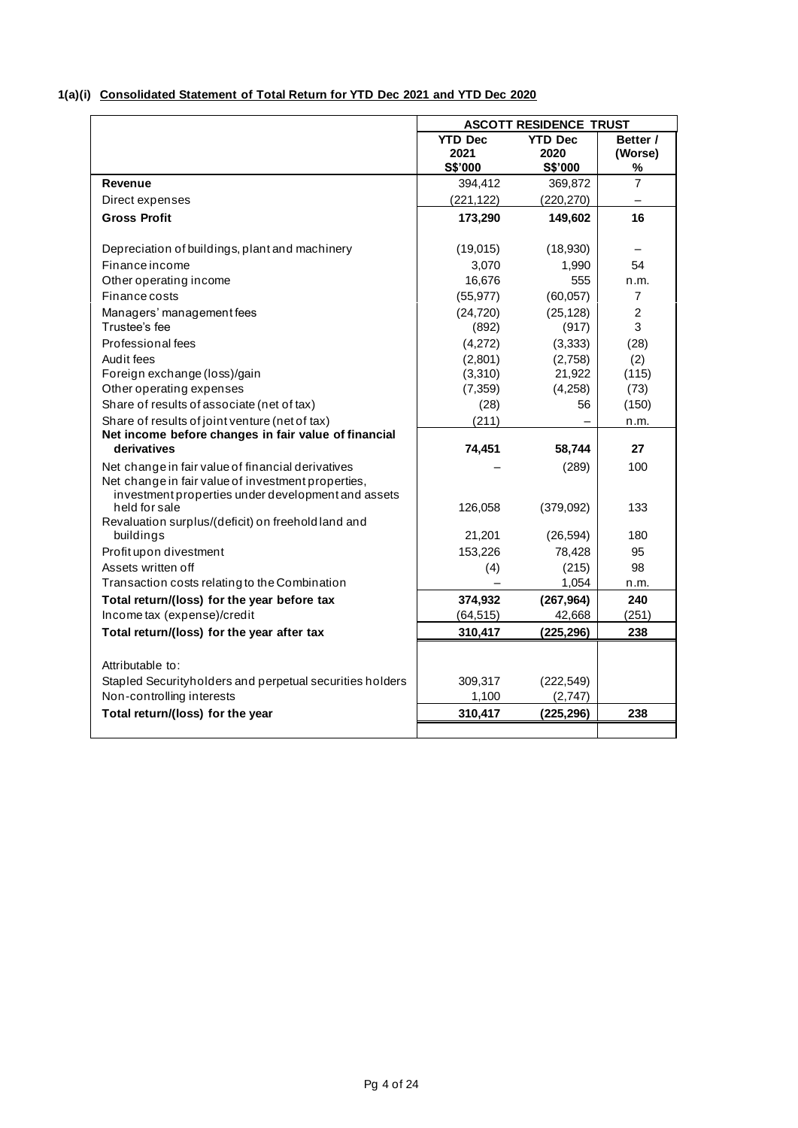## **1(a)(i) Consolidated Statement of Total Return for YTD Dec 2021 and YTD Dec 2020**

|                                                                     |                | <b>ASCOTT RESIDENCE TRUST</b> |                |
|---------------------------------------------------------------------|----------------|-------------------------------|----------------|
|                                                                     | <b>YTD Dec</b> | <b>YTD Dec</b>                | Better /       |
|                                                                     | 2021           | 2020                          | (Worse)        |
|                                                                     | S\$'000        | S\$'000                       | %              |
| Revenue                                                             | 394,412        | 369,872                       | $\overline{7}$ |
| Direct expenses                                                     | (221, 122)     | (220, 270)                    |                |
| <b>Gross Profit</b>                                                 | 173,290        | 149,602                       | 16             |
|                                                                     |                |                               |                |
| Depreciation of buildings, plant and machinery                      | (19,015)       | (18,930)                      |                |
| <b>Finance income</b>                                               | 3,070          | 1,990                         | 54             |
| Other operating income                                              | 16,676         | 555                           | n.m.           |
| Finance costs                                                       | (55, 977)      | (60,057)                      | $\overline{7}$ |
| Managers' management fees                                           | (24, 720)      | (25, 128)                     | $\overline{2}$ |
| Trustee's fee                                                       | (892)          | (917)                         | 3              |
| Professional fees                                                   | (4,272)        | (3, 333)                      | (28)           |
| Audit fees                                                          | (2,801)        | (2,758)                       | (2)            |
| Foreign exchange (loss)/gain                                        | (3,310)        | 21,922                        | (115)          |
| Other operating expenses                                            | (7,359)        | (4,258)                       | (73)           |
| Share of results of associate (net of tax)                          | (28)           | 56                            | (150)          |
| Share of results of joint venture (net of tax)                      | (211)          |                               | n.m.           |
| Net income before changes in fair value of financial<br>derivatives | 74,451         | 58,744                        | 27             |
| Net change in fair value of financial derivatives                   |                | (289)                         | 100            |
| Net change in fair value of investment properties,                  |                |                               |                |
| investment properties under development and assets                  |                |                               |                |
| held for sale                                                       | 126,058        | (379,092)                     | 133            |
| Revaluation surplus/(deficit) on freehold land and<br>buildings     | 21,201         | (26, 594)                     | 180            |
| Profit upon divestment                                              | 153,226        | 78,428                        | 95             |
| Assets written off                                                  | (4)            | (215)                         | 98             |
| Transaction costs relating to the Combination                       |                | 1,054                         | n.m.           |
| Total return/(loss) for the year before tax                         | 374,932        | (267, 964)                    | 240            |
| Income tax (expense)/credit                                         | (64, 515)      | 42,668                        | (251)          |
| Total return/(loss) for the year after tax                          | 310,417        | (225, 296)                    | 238            |
|                                                                     |                |                               |                |
| Attributable to:                                                    |                |                               |                |
| Stapled Securityholders and perpetual securities holders            | 309,317        | (222, 549)                    |                |
| Non-controlling interests                                           | 1,100          | (2,747)                       |                |
| Total return/(loss) for the year                                    | 310,417        | (225, 296)                    | 238            |
|                                                                     |                |                               |                |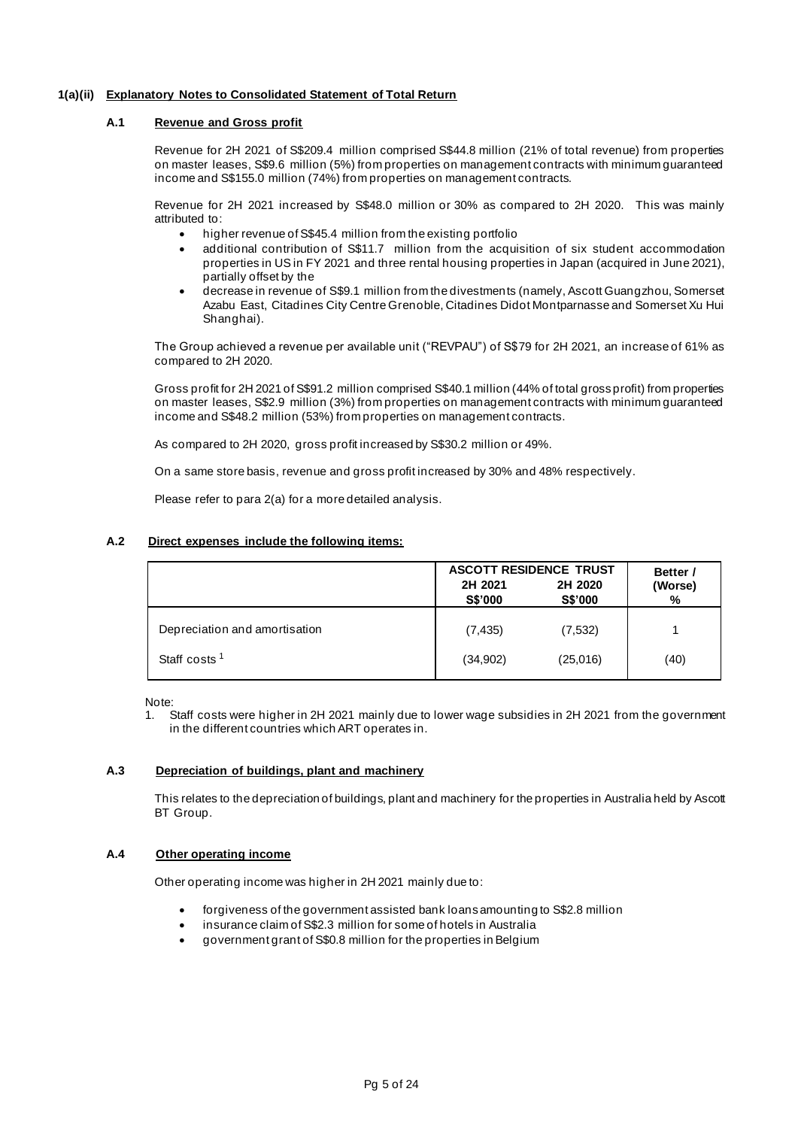## **1(a)(ii) Explanatory Notes to Consolidated Statement of Total Return**

## **A.1 Revenue and Gross profit**

Revenue for 2H 2021 of S\$209.4 million comprised S\$44.8 million (21% of total revenue) from properties on master leases, S\$9.6 million (5%) from properties on management contracts with minimum guaranteed income and S\$155.0 million (74%) from properties on management contracts.

Revenue for 2H 2021 increased by S\$48.0 million or 30% as compared to 2H 2020. This was mainly attributed to:

- higher revenue of S\$45.4 million from the existing portfolio
- additional contribution of S\$11.7 million from the acquisition of six student accommodation properties in US in FY 2021 and three rental housing properties in Japan (acquired in June 2021), partially offset by the
- decrease in revenue of S\$9.1 million from the divestments (namely, Ascott Guangzhou, Somerset Azabu East, Citadines City Centre Grenoble, Citadines Didot Montparnasse and Somerset Xu Hui Shanghai).

The Group achieved a revenue per available unit ("REVPAU") of S\$79 for 2H 2021, an increase of 61% as compared to 2H 2020.

Gross profit for 2H 2021 of S\$91.2 million comprised S\$40.1 million (44% of total gross profit) from properties on master leases, S\$2.9 million (3%) from properties on management contracts with minimum guaranteed income and S\$48.2 million (53%) from properties on management contracts.

As compared to 2H 2020, gross profit increased by S\$30.2 million or 49%.

On a same store basis, revenue and gross profit increased by 30% and 48% respectively.

Please refer to para 2(a) for a more detailed analysis.

## **A.2 Direct expenses include the following items:**

|                               | <b>ASCOTT RESIDENCE TRUST</b><br>2H 2021<br><b>S\$'000</b> | 2H 2020<br><b>S\$'000</b> | Better /<br>(Worse)<br>% |
|-------------------------------|------------------------------------------------------------|---------------------------|--------------------------|
| Depreciation and amortisation | (7, 435)                                                   | (7, 532)                  |                          |
| Staff costs <sup>1</sup>      | (34,902)                                                   | (25,016)                  | (40)                     |

Note:

1. Staff costs were higher in 2H 2021 mainly due to lower wage subsidies in 2H 2021 from the government in the different countries which ART operates in.

#### **A.3 Depreciation of buildings, plant and machinery**

This relates to the depreciation of buildings, plant and machinery for the properties in Australia held by Ascott BT Group.

#### **A.4 Other operating income**

Other operating income was higher in 2H 2021 mainly due to:

- forgiveness of the government assisted bank loans amounting to S\$2.8 million
- insurance claim of S\$2.3 million for some of hotels in Australia
- government grant of S\$0.8 million for the properties in Belgium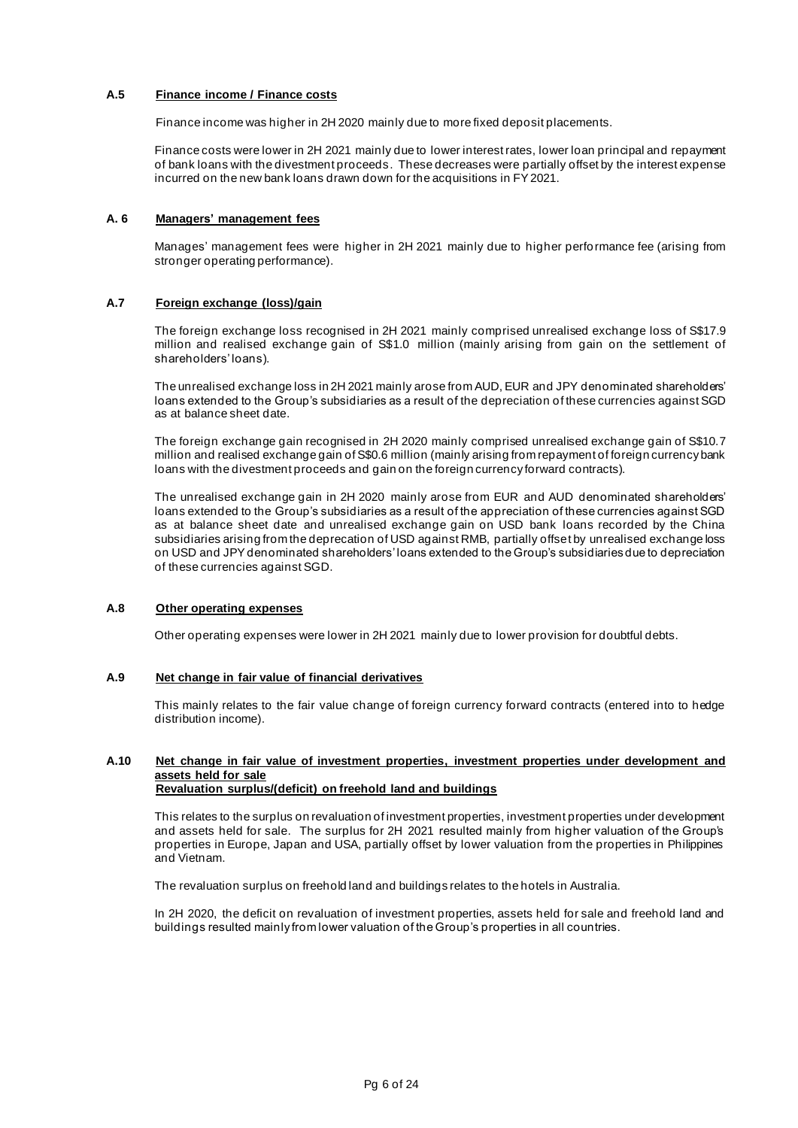## **A.5 Finance income / Finance costs**

Finance income was higher in 2H 2020 mainly due to more fixed deposit placements.

Finance costs were lower in 2H 2021 mainly due to lower interest rates, lower loan principal and repayment of bank loans with the divestment proceeds. These decreases were partially offset by the interest expense incurred on the new bank loans drawn down for the acquisitions in FY 2021.

## **A. 6 Managers' management fees**

Manages' management fees were higher in 2H 2021 mainly due to higher performance fee (arising from stronger operating performance).

## **A.7 Foreign exchange (loss)/gain**

The foreign exchange loss recognised in 2H 2021 mainly comprised unrealised exchange loss of S\$17.9 million and realised exchange gain of S\$1.0 million (mainly arising from gain on the settlement of shareholders' loans).

The unrealised exchange loss in 2H 2021 mainly arose from AUD, EUR and JPY denominated shareholders' loans extended to the Group's subsidiaries as a result of the depreciation of these currencies against SGD as at balance sheet date.

The foreign exchange gain recognised in 2H 2020 mainly comprised unrealised exchange gain of S\$10.7 million and realised exchange gain of S\$0.6 million (mainly arising from repayment of foreign currency bank loans with the divestment proceeds and gain on the foreign currency forward contracts).

The unrealised exchange gain in 2H 2020 mainly arose from EUR and AUD denominated shareholders' loans extended to the Group's subsidiaries as a result of the appreciation of these currencies against SGD as at balance sheet date and unrealised exchange gain on USD bank loans recorded by the China subsidiaries arising from the deprecation of USD against RMB, partially offset by unrealised exchange loss on USD and JPY denominated shareholders' loans extended to the Group's subsidiaries due to depreciation of these currencies against SGD.

#### **A.8 Other operating expenses**

Other operating expenses were lower in 2H 2021 mainly due to lower provision for doubtful debts.

## **A.9 Net change in fair value of financial derivatives**

This mainly relates to the fair value change of foreign currency forward contracts (entered into to hedge distribution income).

#### **A.10 Net change in fair value of investment properties, investment properties under development and assets held for sale Revaluation surplus/(deficit) on freehold land and buildings**

This relates to the surplus on revaluation of investment properties, investment properties under development and assets held for sale. The surplus for 2H 2021 resulted mainly from higher valuation of the Group's properties in Europe, Japan and USA, partially offset by lower valuation from the properties in Philippines and Vietnam.

The revaluation surplus on freehold land and buildings relates to the hotels in Australia.

In 2H 2020, the deficit on revaluation of investment properties, assets held for sale and freehold land and buildings resulted mainly from lower valuation of the Group's properties in all countries.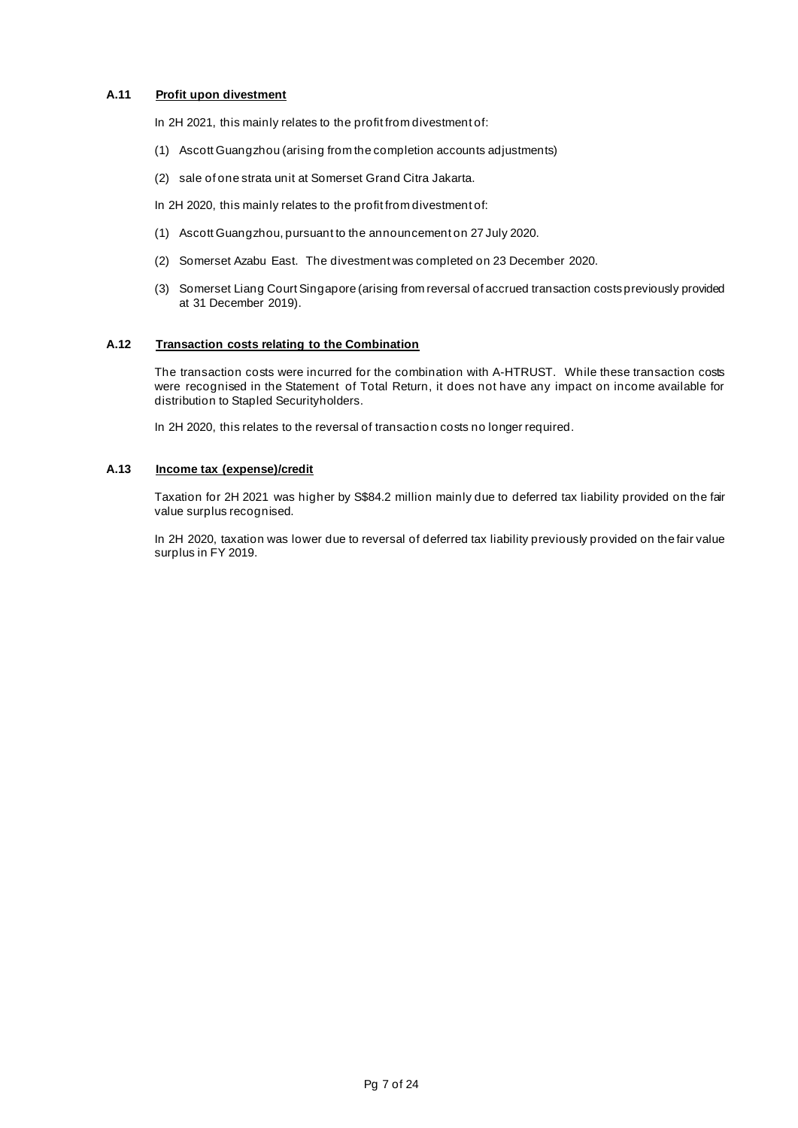## **A.11 Profit upon divestment**

In 2H 2021, this mainly relates to the profit from divestment of:

- (1) Ascott Guangzhou (arising from the completion accounts adjustments)
- (2) sale of one strata unit at Somerset Grand Citra Jakarta.

In 2H 2020, this mainly relates to the profit from divestment of:

- (1) Ascott Guangzhou, pursuant to the announcement on 27 July 2020.
- (2) Somerset Azabu East. The divestment was completed on 23 December 2020.
- (3) Somerset Liang Court Singapore (arising from reversal of accrued transaction costs previously provided at 31 December 2019).

## **A.12 Transaction costs relating to the Combination**

The transaction costs were incurred for the combination with A-HTRUST. While these transaction costs were recognised in the Statement of Total Return, it does not have any impact on income available for distribution to Stapled Securityholders.

In 2H 2020, this relates to the reversal of transaction costs no longer required.

#### **A.13 Income tax (expense)/credit**

Taxation for 2H 2021 was higher by S\$84.2 million mainly due to deferred tax liability provided on the fair value surplus recognised.

In 2H 2020, taxation was lower due to reversal of deferred tax liability previously provided on the fair value surplus in FY 2019.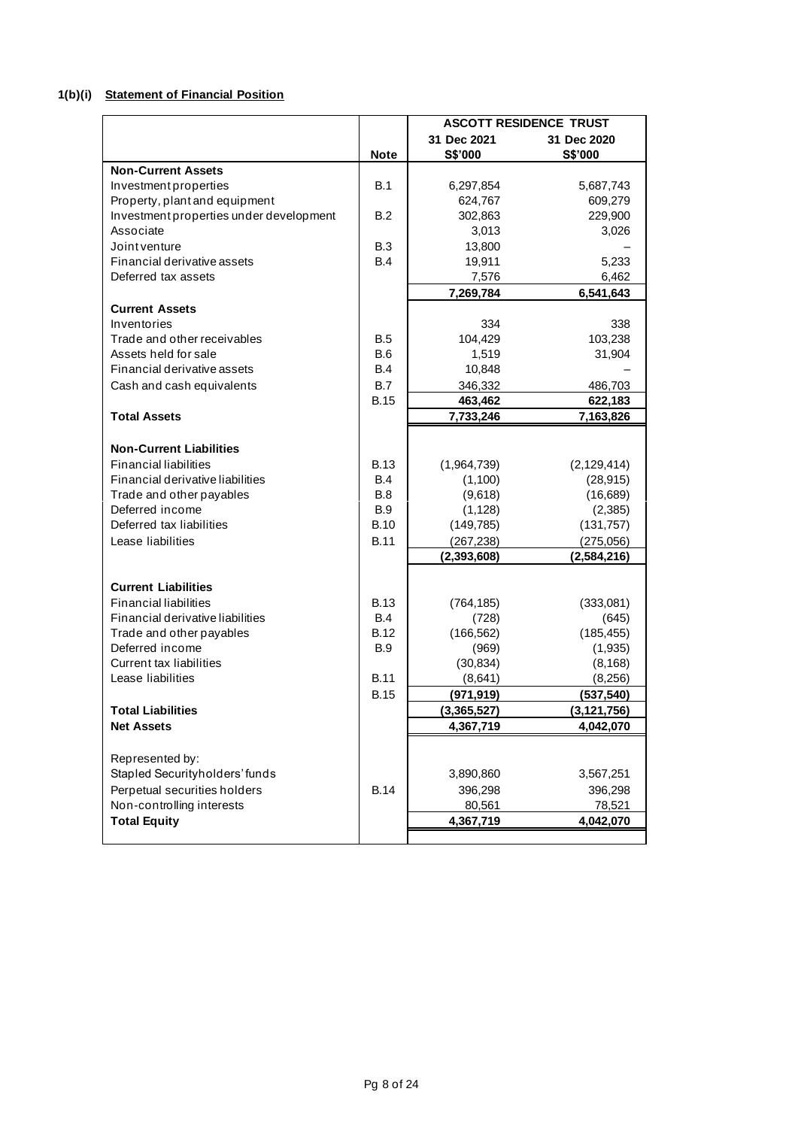## **1(b)(i) Statement of Financial Position**

|                                         |             | <b>ASCOTT RESIDENCE TRUST</b> |               |  |  |  |  |
|-----------------------------------------|-------------|-------------------------------|---------------|--|--|--|--|
|                                         |             | 31 Dec 2021                   | 31 Dec 2020   |  |  |  |  |
|                                         | <b>Note</b> | S\$'000                       | S\$'000       |  |  |  |  |
| <b>Non-Current Assets</b>               |             |                               |               |  |  |  |  |
| Investment properties                   | <b>B.1</b>  | 6,297,854                     | 5,687,743     |  |  |  |  |
| Property, plant and equipment           |             | 624,767                       | 609,279       |  |  |  |  |
| Investment properties under development | B.2         | 302,863                       | 229,900       |  |  |  |  |
| Associate                               |             | 3,013                         | 3,026         |  |  |  |  |
| Joint venture                           | B.3         | 13,800                        |               |  |  |  |  |
| Financial derivative assets             | <b>B.4</b>  | 19,911                        | 5,233         |  |  |  |  |
| Deferred tax assets                     |             | 7,576                         | 6,462         |  |  |  |  |
|                                         |             | 7,269,784                     | 6,541,643     |  |  |  |  |
| <b>Current Assets</b>                   |             |                               |               |  |  |  |  |
| Inventories                             |             | 334                           | 338           |  |  |  |  |
| Trade and other receivables             | B.5         | 104,429                       | 103,238       |  |  |  |  |
| Assets held for sale                    | B.6         | 1,519                         | 31,904        |  |  |  |  |
| Financial derivative assets             | B.4         | 10,848                        |               |  |  |  |  |
| Cash and cash equivalents               | B.7         | 346,332                       | 486,703       |  |  |  |  |
|                                         | <b>B.15</b> | 463,462                       | 622,183       |  |  |  |  |
| <b>Total Assets</b>                     |             | 7,733,246                     | 7,163,826     |  |  |  |  |
|                                         |             |                               |               |  |  |  |  |
| <b>Non-Current Liabilities</b>          |             |                               |               |  |  |  |  |
| <b>Financial liabilities</b>            | <b>B.13</b> | (1,964,739)                   | (2, 129, 414) |  |  |  |  |
| Financial derivative liabilities        | B.4         | (1,100)                       | (28, 915)     |  |  |  |  |
| Trade and other payables                | B.8         | (9,618)                       | (16, 689)     |  |  |  |  |
| Deferred income                         | <b>B.9</b>  | (1, 128)                      | (2, 385)      |  |  |  |  |
| Deferred tax liabilities                | <b>B.10</b> | (149, 785)                    | (131, 757)    |  |  |  |  |
| Lease liabilities                       | <b>B.11</b> | (267, 238)                    | (275, 056)    |  |  |  |  |
|                                         |             | (2,393,608)                   | (2,584,216)   |  |  |  |  |
|                                         |             |                               |               |  |  |  |  |
| <b>Current Liabilities</b>              |             |                               |               |  |  |  |  |
| <b>Financial liabilities</b>            | <b>B.13</b> | (764, 185)                    | (333,081)     |  |  |  |  |
| Financial derivative liabilities        | B.4         | (728)                         | (645)         |  |  |  |  |
| Trade and other payables                | <b>B.12</b> | (166, 562)                    | (185, 455)    |  |  |  |  |
| Deferred income                         | B.9         | (969)                         | (1,935)       |  |  |  |  |
| <b>Current tax liabilities</b>          |             | (30, 834)                     | (8, 168)      |  |  |  |  |
| Lease liabilities                       | <b>B.11</b> | (8,641)                       | (8, 256)      |  |  |  |  |
|                                         | <b>B.15</b> | (971, 919)                    | (537, 540)    |  |  |  |  |
| <b>Total Liabilities</b>                |             | (3.365.527)                   | (3.121.756)   |  |  |  |  |
| <b>Net Assets</b>                       |             | 4,367,719                     | 4,042,070     |  |  |  |  |
|                                         |             |                               |               |  |  |  |  |
| Represented by:                         |             |                               |               |  |  |  |  |
| Stapled Securityholders' funds          |             | 3,890,860                     | 3,567,251     |  |  |  |  |
| Perpetual securities holders            | <b>B.14</b> | 396,298                       | 396,298       |  |  |  |  |
| Non-controlling interests               |             | 80,561                        | 78,521        |  |  |  |  |
| <b>Total Equity</b>                     |             | 4,367,719                     | 4,042,070     |  |  |  |  |
|                                         |             |                               |               |  |  |  |  |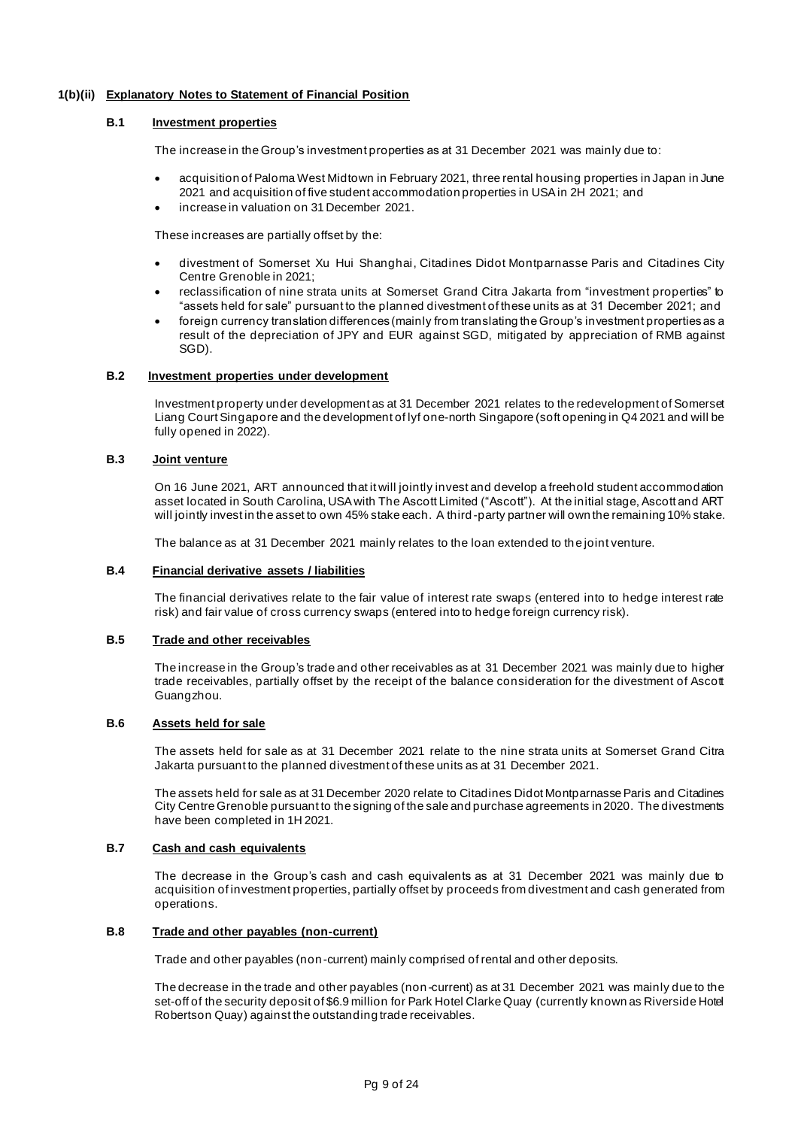## **1(b)(ii) Explanatory Notes to Statement of Financial Position**

### **B.1 Investment properties**

The increase in the Group's investment properties as at 31 December 2021 was mainly due to:

- acquisition of Paloma West Midtown in February 2021, three rental housing properties in Japan in June 2021 and acquisition of five student accommodation properties in USA in 2H 2021; and
- increase in valuation on 31 December 2021.

These increases are partially offset by the:

- divestment of Somerset Xu Hui Shanghai, Citadines Didot Montparnasse Paris and Citadines City Centre Grenoble in 2021;
- reclassification of nine strata units at Somerset Grand Citra Jakarta from "investment properties" to "assets held for sale" pursuant to the planned divestment of these units as at 31 December 2021; and
- foreign currency translation differences (mainly from translating the Group's investment properties as a result of the depreciation of JPY and EUR against SGD, mitigated by appreciation of RMB against SGD).

#### **B.2 Investment properties under development**

Investment property under development as at 31 December 2021 relates to the redevelopment of Somerset Liang Court Singapore and the development of lyf one-north Singapore (soft opening in Q4 2021 and will be fully opened in 2022).

## **B.3 Joint venture**

On 16 June 2021, ART announced that it will jointly invest and develop a freehold student accommodation asset located in South Carolina, USA with The Ascott Limited ("Ascott"). At the initial stage, Ascott and ART will jointly invest in the asset to own 45% stake each. A third-party partner will own the remaining 10% stake.

The balance as at 31 December 2021 mainly relates to the loan extended to the joint venture.

### **B.4 Financial derivative assets / liabilities**

The financial derivatives relate to the fair value of interest rate swaps (entered into to hedge interest rate risk) and fair value of cross currency swaps (entered into to hedge foreign currency risk).

## **B.5 Trade and other receivables**

The increase in the Group's trade and other receivables as at 31 December 2021 was mainly due to higher trade receivables, partially offset by the receipt of the balance consideration for the divestment of Ascott Guangzhou.

#### **B.6 Assets held for sale**

The assets held for sale as at 31 December 2021 relate to the nine strata units at Somerset Grand Citra Jakarta pursuant to the planned divestment of these units as at 31 December 2021.

The assets held for sale as at 31 December 2020 relate to Citadines Didot Montparnasse Paris and Citadines City Centre Grenoble pursuant to the signing of the sale and purchase agreements in 2020. The divestments have been completed in 1H 2021.

## **B.7 Cash and cash equivalents**

The decrease in the Group's cash and cash equivalents as at 31 December 2021 was mainly due to acquisition of investment properties, partially offset by proceeds from divestment and cash generated from operations.

#### **B.8 Trade and other payables (non-current)**

Trade and other payables (non-current) mainly comprised of rental and other deposits.

The decrease in the trade and other payables (non -current) as at 31 December 2021 was mainly due to the set-off of the security deposit of \$6.9 million for Park Hotel Clarke Quay (currently known as Riverside Hotel Robertson Quay) against the outstanding trade receivables.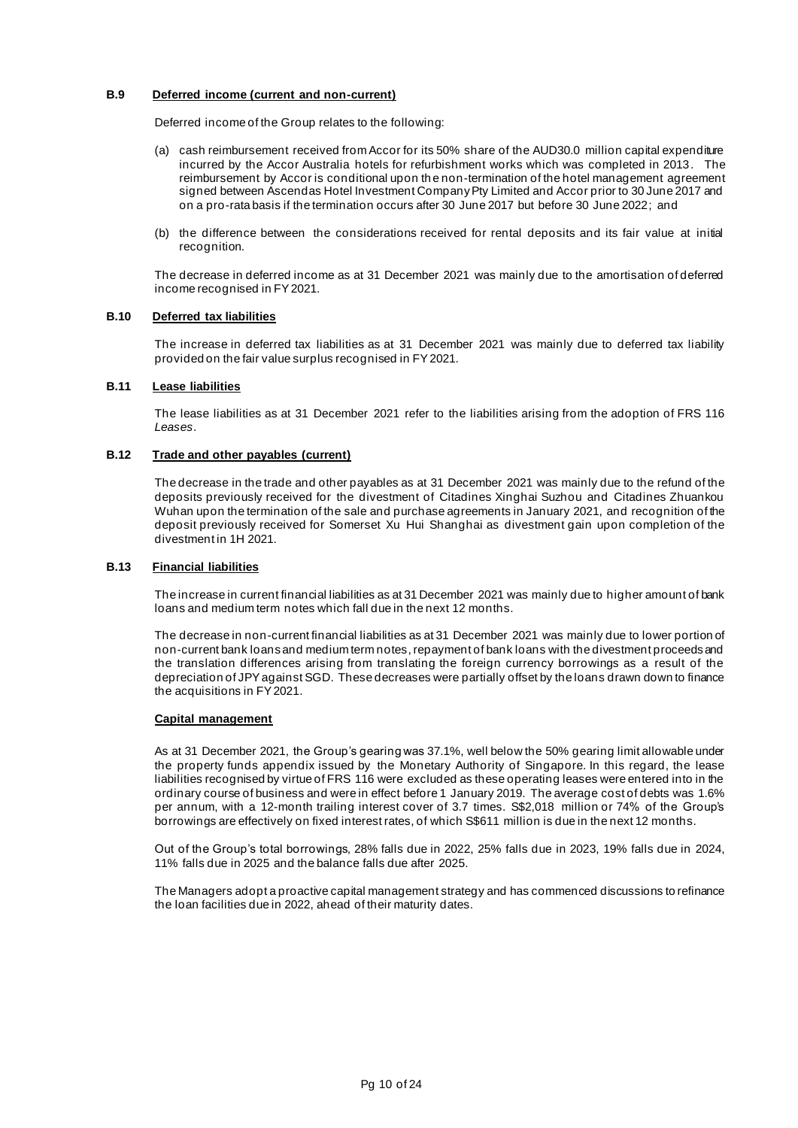## **B.9 Deferred income (current and non-current)**

Deferred income of the Group relates to the following:

- (a) cash reimbursement received from Accor for its 50% share of the AUD30.0 million capital expenditure incurred by the Accor Australia hotels for refurbishment works which was completed in 2013. The reimbursement by Accor is conditional upon th e non-termination of the hotel management agreement signed between Ascendas Hotel Investment Company Pty Limited and Accor prior to 30 June 2017 and on a pro-rata basis if the termination occurs after 30 June 2017 but before 30 June 2022; and
- (b) the difference between the considerations received for rental deposits and its fair value at initial recognition.

The decrease in deferred income as at 31 December 2021 was mainly due to the amortisation of deferred income recognised in FY2021.

## **B.10 Deferred tax liabilities**

The increase in deferred tax liabilities as at 31 December 2021 was mainly due to deferred tax liability provided on the fair value surplus recognised in FY 2021.

## **B.11 Lease liabilities**

The lease liabilities as at 31 December 2021 refer to the liabilities arising from the adoption of FRS 116 *Leases*.

## **B.12 Trade and other payables (current)**

The decrease in the trade and other payables as at 31 December 2021 was mainly due to the refund of the deposits previously received for the divestment of Citadines Xinghai Suzhou and Citadines Zhuankou Wuhan upon the termination of the sale and purchase agreements in January 2021, and recognition of the deposit previously received for Somerset Xu Hui Shanghai as divestment gain upon completion of the divestment in 1H 2021.

## **B.13 Financial liabilities**

The increase in current financial liabilities as at 31 December 2021 was mainly due to higher amount of bank loans and medium term notes which fall due in the next 12 months.

The decrease in non-current financial liabilities as at 31 December 2021 was mainly due to lower portion of non-current bank loans and medium term notes, repayment of bank loans with the divestment proceeds and the translation differences arising from translating the foreign currency borrowings as a result of the depreciation of JPY against SGD. These decreases were partially offset by the loans drawn down to finance the acquisitions in FY 2021.

#### **Capital management**

As at 31 December 2021, the Group's gearing was 37.1%, well below the 50% gearing limit allowable under the property funds appendix issued by the Monetary Authority of Singapore. In this regard, the lease liabilities recognised by virtue of FRS 116 were excluded as these operating leases were entered into in the ordinary course of business and were in effect before 1 January 2019. The average cost of debts was 1.6% per annum, with a 12-month trailing interest cover of 3.7 times. S\$2,018 million or 74% of the Group's borrowings are effectively on fixed interest rates, of which S\$611 million is due in the next 12 months.

Out of the Group's total borrowings, 28% falls due in 2022, 25% falls due in 2023, 19% falls due in 2024, 11% falls due in 2025 and the balance falls due after 2025.

The Managers adopt a proactive capital management strategy and has commenced discussions to refinance the loan facilities due in 2022, ahead of their maturity dates.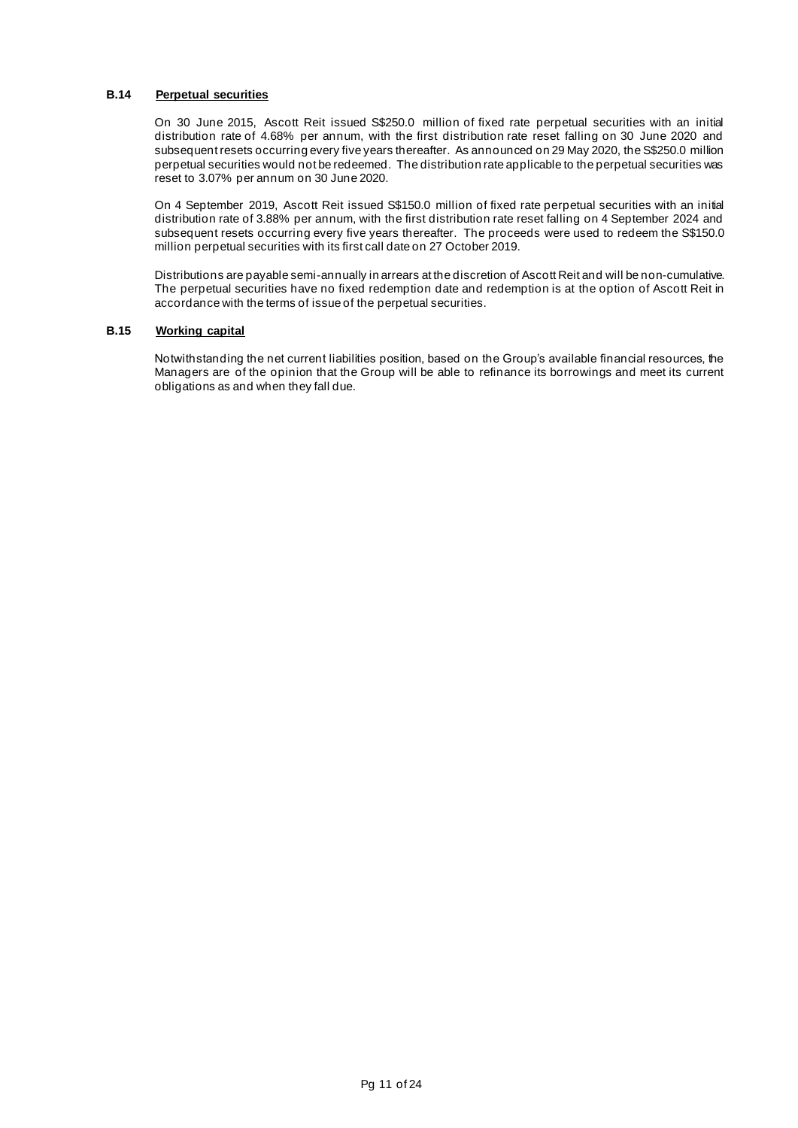## **B.14 Perpetual securities**

On 30 June 2015, Ascott Reit issued S\$250.0 million of fixed rate perpetual securities with an initial distribution rate of 4.68% per annum, with the first distribution rate reset falling on 30 June 2020 and subsequent resets occurring every five years thereafter. As announced on 29 May 2020, the S\$250.0 million perpetual securities would not be redeemed. The distribution rate applicable to the perpetual securities was reset to 3.07% per annum on 30 June 2020.

On 4 September 2019, Ascott Reit issued S\$150.0 million of fixed rate perpetual securities with an initial distribution rate of 3.88% per annum, with the first distribution rate reset falling on 4 September 2024 and subsequent resets occurring every five years thereafter. The proceeds were used to redeem the S\$150.0 million perpetual securities with its first call date on 27 October 2019.

Distributions are payable semi-annually in arrears at the discretion of Ascott Reit and will be non-cumulative. The perpetual securities have no fixed redemption date and redemption is at the option of Ascott Reit in accordance with the terms of issue of the perpetual securities.

### **B.15 Working capital**

Notwithstanding the net current liabilities position, based on the Group's available financial resources, the Managers are of the opinion that the Group will be able to refinance its borrowings and meet its current obligations as and when they fall due.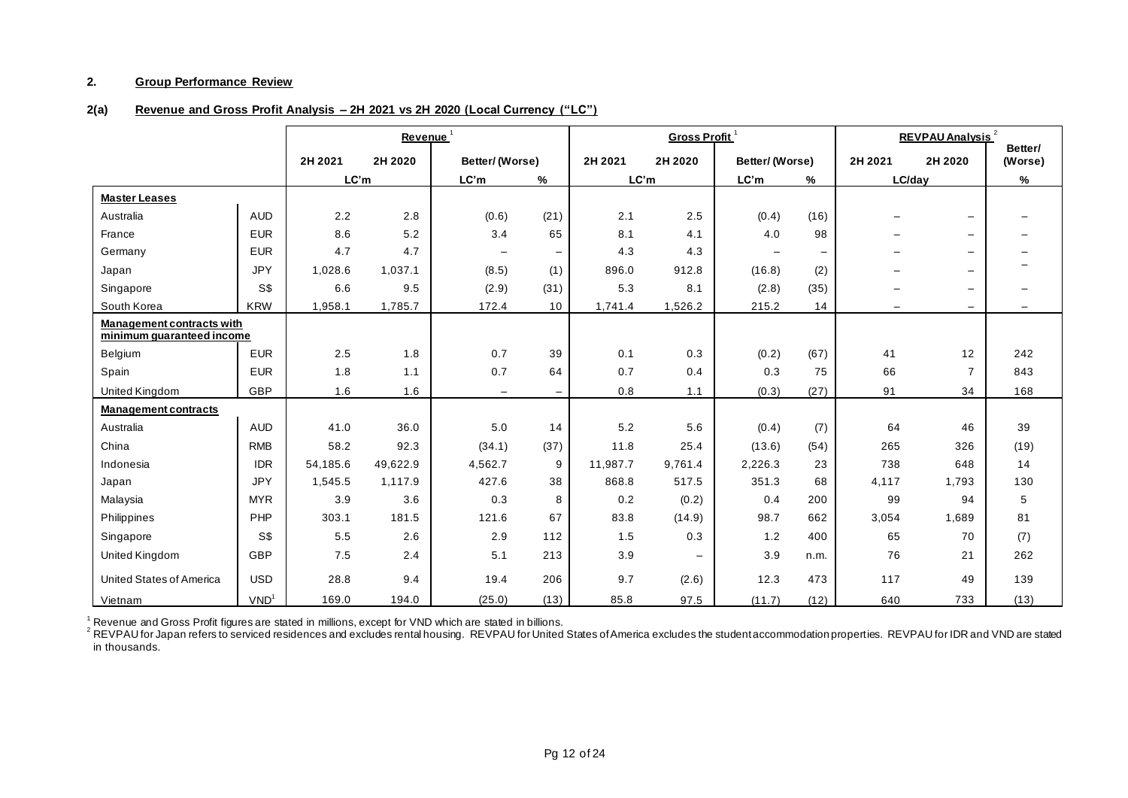### **2. Group Performance Review**

## **2(a) Revenue and Gross Profit Analysis – 2H 2021 vs 2H 2020 (Local Currency ("LC")**

|                                                               |                  |          | Revenue <sup>1</sup> |                          |                   |          | Gross Profit <sup>1</sup> |                          |      | <b>REVPAU Analysis<sup>2</sup></b><br>Better/ |                          |                          |
|---------------------------------------------------------------|------------------|----------|----------------------|--------------------------|-------------------|----------|---------------------------|--------------------------|------|-----------------------------------------------|--------------------------|--------------------------|
|                                                               |                  | 2H 2021  | 2H 2020              | Better/(Worse)           |                   | 2H 2021  | 2H 2020                   | Better/(Worse)           |      | 2H 2021                                       | 2H 2020                  | (Worse)                  |
|                                                               |                  | LC'm     |                      | LC'm                     | $\%$              | LC'm     |                           | LC'm                     | %    | LC/day                                        |                          | %                        |
| <b>Master Leases</b>                                          |                  |          |                      |                          |                   |          |                           |                          |      |                                               |                          |                          |
| Australia                                                     | <b>AUD</b>       | 2.2      | 2.8                  | (0.6)                    | (21)              | 2.1      | 2.5                       | (0.4)                    | (16) |                                               | $\overline{\phantom{m}}$ | $\overline{\phantom{0}}$ |
| France                                                        | <b>EUR</b>       | 8.6      | 5.2                  | 3.4                      | 65                | 8.1      | 4.1                       | 4.0                      | 98   |                                               | $\qquad \qquad -$        | $\overline{\phantom{m}}$ |
| Germany                                                       | <b>EUR</b>       | 4.7      | 4.7                  | $\overline{\phantom{m}}$ | $\qquad \qquad -$ | 4.3      | 4.3                       | $\overline{\phantom{m}}$ |      |                                               | $\overline{\phantom{m}}$ | $\overline{\phantom{0}}$ |
| Japan                                                         | <b>JPY</b>       | 1,028.6  | 1,037.1              | (8.5)                    | (1)               | 896.0    | 912.8                     | (16.8)                   | (2)  |                                               | $\overline{\phantom{m}}$ |                          |
| Singapore                                                     | S\$              | 6.6      | 9.5                  | (2.9)                    | (31)              | 5.3      | 8.1                       | (2.8)                    | (35) |                                               | $\qquad \qquad -$        | $\overline{\phantom{m}}$ |
| South Korea                                                   | <b>KRW</b>       | 1,958.1  | 1,785.7              | 172.4                    | 10                | 1,741.4  | 1,526.2                   | 215.2                    | 14   | $\qquad \qquad -$                             | $\qquad \qquad -$        | $\overline{\phantom{m}}$ |
| <b>Management contracts with</b><br>minimum quaranteed income |                  |          |                      |                          |                   |          |                           |                          |      |                                               |                          |                          |
| Belgium                                                       | <b>EUR</b>       | 2.5      | 1.8                  | 0.7                      | 39                | 0.1      | 0.3                       | (0.2)                    | (67) | 41                                            | 12                       | 242                      |
| Spain                                                         | <b>EUR</b>       | 1.8      | 1.1                  | 0.7                      | 64                | 0.7      | 0.4                       | 0.3                      | 75   | 66                                            | $\overline{7}$           | 843                      |
| <b>United Kingdom</b>                                         | GBP              | 1.6      | 1.6                  | $\overline{\phantom{m}}$ | $\qquad \qquad -$ | 0.8      | 1.1                       | (0.3)                    | (27) | 91                                            | 34                       | 168                      |
| <b>Management contracts</b>                                   |                  |          |                      |                          |                   |          |                           |                          |      |                                               |                          |                          |
| Australia                                                     | <b>AUD</b>       | 41.0     | 36.0                 | 5.0                      | 14                | 5.2      | 5.6                       | (0.4)                    | (7)  | 64                                            | 46                       | 39                       |
| China                                                         | <b>RMB</b>       | 58.2     | 92.3                 | (34.1)                   | (37)              | 11.8     | 25.4                      | (13.6)                   | (54) | 265                                           | 326                      | (19)                     |
| Indonesia                                                     | <b>IDR</b>       | 54,185.6 | 49,622.9             | 4,562.7                  | 9                 | 11,987.7 | 9,761.4                   | 2,226.3                  | 23   | 738                                           | 648                      | 14                       |
| Japan                                                         | <b>JPY</b>       | 1,545.5  | 1,117.9              | 427.6                    | 38                | 868.8    | 517.5                     | 351.3                    | 68   | 4,117                                         | 1,793                    | 130                      |
| Malaysia                                                      | <b>MYR</b>       | 3.9      | 3.6                  | 0.3                      | 8                 | 0.2      | (0.2)                     | 0.4                      | 200  | 99                                            | 94                       | 5                        |
| Philippines                                                   | PHP              | 303.1    | 181.5                | 121.6                    | 67                | 83.8     | (14.9)                    | 98.7                     | 662  | 3,054                                         | 1,689                    | 81                       |
| Singapore                                                     | S\$              | 5.5      | 2.6                  | 2.9                      | 112               | 1.5      | 0.3                       | 1.2                      | 400  | 65                                            | 70                       | (7)                      |
| United Kingdom                                                | <b>GBP</b>       | 7.5      | 2.4                  | 5.1                      | 213               | 3.9      | $\overline{\phantom{m}}$  | 3.9                      | n.m. | 76                                            | 21                       | 262                      |
| United States of America                                      | <b>USD</b>       | 28.8     | 9.4                  | 19.4                     | 206               | 9.7      | (2.6)                     | 12.3                     | 473  | 117                                           | 49                       | 139                      |
| Vietnam                                                       | VND <sup>1</sup> | 169.0    | 194.0                | (25.0)                   | (13)              | 85.8     | 97.5                      | (11.7)                   | (12) | 640                                           | 733                      | (13)                     |

 $1$  Revenue and Gross Profit figures are stated in millions, except for VND which are stated in billions.

 $^2$  REVPAU for Japan refers to serviced residences and excludes rental housing. REVPAU for United States of America excludes the student accommodation properties. REVPAU for IDR and VND are stated in thousands.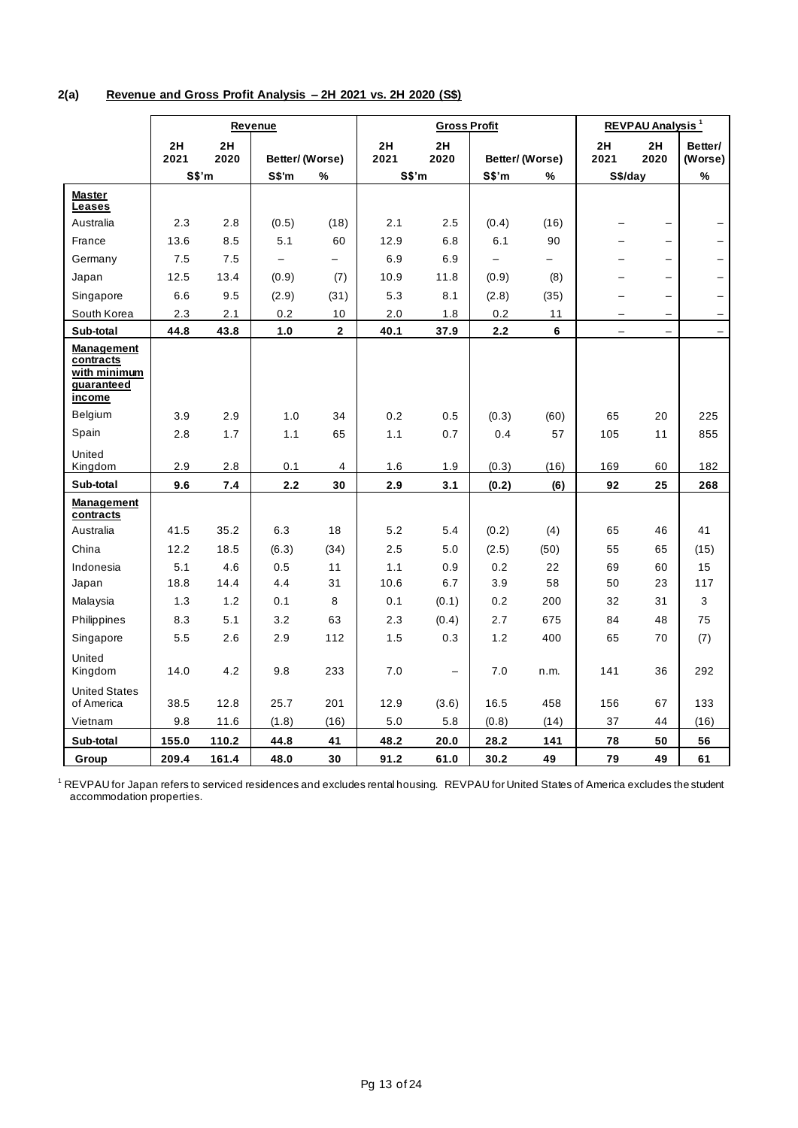## **2(a) Revenue and Gross Profit Analysis – 2H 2021 vs. 2H 2020 (S\$)**

|                                                                        | Revenue    |            |                          |                          |            | <b>Gross Profit</b>      |                          |                | <b>REVPAU Analysis<sup>1</sup></b> |                          |                    |
|------------------------------------------------------------------------|------------|------------|--------------------------|--------------------------|------------|--------------------------|--------------------------|----------------|------------------------------------|--------------------------|--------------------|
|                                                                        | 2H<br>2021 | 2H<br>2020 | Better/(Worse)           |                          | 2H<br>2021 | 2H<br>2020               |                          | Better/(Worse) | 2H<br>2021                         | 2H<br>2020               | Better/<br>(Worse) |
|                                                                        |            | S\$'m      | S\$'m                    | %                        | S\$'m      |                          | S\$'m                    | %              | S\$/day                            |                          | %                  |
| <b>Master</b><br>Leases                                                |            |            |                          |                          |            |                          |                          |                |                                    |                          |                    |
| Australia                                                              | 2.3        | 2.8        | (0.5)                    | (18)                     | 2.1        | 2.5                      | (0.4)                    | (16)           |                                    |                          |                    |
| France                                                                 | 13.6       | 8.5        | 5.1                      | 60                       | 12.9       | 6.8                      | 6.1                      | 90             |                                    | $\overline{\phantom{0}}$ |                    |
| Germany                                                                | 7.5        | 7.5        | $\overline{\phantom{0}}$ | $\overline{\phantom{0}}$ | 6.9        | 6.9                      | $\overline{\phantom{0}}$ |                |                                    | $\qquad \qquad -$        |                    |
| Japan                                                                  | 12.5       | 13.4       | (0.9)                    | (7)                      | 10.9       | 11.8                     | (0.9)                    | (8)            |                                    | $\overline{\phantom{0}}$ |                    |
| Singapore                                                              | 6.6        | 9.5        | (2.9)                    | (31)                     | 5.3        | 8.1                      | (2.8)                    | (35)           |                                    |                          |                    |
| South Korea                                                            | 2.3        | 2.1        | 0.2                      | 10                       | 2.0        | 1.8                      | 0.2                      | 11             |                                    | $\overline{\phantom{0}}$ |                    |
| Sub-total                                                              | 44.8       | 43.8       | 1.0                      | $\overline{2}$           | 40.1       | 37.9                     | 2.2                      | 6              | $\overline{\phantom{0}}$           | $\overline{\phantom{0}}$ |                    |
| <b>Management</b><br>contracts<br>with minimum<br>guaranteed<br>income |            |            |                          |                          |            |                          |                          |                |                                    |                          |                    |
| Belgium                                                                | 3.9        | 2.9        | 1.0                      | 34                       | 0.2        | 0.5                      | (0.3)                    | (60)           | 65                                 | 20                       | 225                |
| Spain                                                                  | 2.8        | 1.7        | 1.1                      | 65                       | 1.1        | 0.7                      | 0.4                      | 57             | 105                                | 11                       | 855                |
| United<br>Kingdom                                                      | 2.9        | 2.8        | 0.1                      | $\overline{4}$           | 1.6        | 1.9                      | (0.3)                    | (16)           | 169                                | 60                       | 182                |
| Sub-total                                                              | 9.6        | 7.4        | $2.2$                    | 30                       | 2.9        | 3.1                      | (0.2)                    | (6)            | 92                                 | 25                       | 268                |
| Management<br>contracts                                                |            |            |                          |                          |            |                          |                          |                |                                    |                          |                    |
| Australia                                                              | 41.5       | 35.2       | 6.3                      | 18                       | 5.2        | 5.4                      | (0.2)                    | (4)            | 65                                 | 46                       | 41                 |
| China                                                                  | 12.2       | 18.5       | (6.3)                    | (34)                     | 2.5        | 5.0                      | (2.5)                    | (50)           | 55                                 | 65                       | (15)               |
| Indonesia                                                              | 5.1        | 4.6        | 0.5                      | 11                       | 1.1        | 0.9                      | 0.2                      | 22             | 69                                 | 60                       | 15                 |
| Japan                                                                  | 18.8       | 14.4       | 4.4                      | 31                       | 10.6       | 6.7                      | 3.9                      | 58             | 50                                 | 23                       | 117                |
| Malaysia                                                               | 1.3        | 1.2        | 0.1                      | 8                        | 0.1        | (0.1)                    | 0.2                      | 200            | 32                                 | 31                       | 3                  |
| Philippines                                                            | 8.3        | 5.1        | 3.2                      | 63                       | 2.3        | (0.4)                    | 2.7                      | 675            | 84                                 | 48                       | 75                 |
| Singapore                                                              | 5.5        | 2.6        | 2.9                      | 112                      | 1.5        | 0.3                      | 1.2                      | 400            | 65                                 | 70                       | (7)                |
| United<br>Kingdom                                                      | 14.0       | 4.2        | 9.8                      | 233                      | 7.0        | $\overline{\phantom{0}}$ | 7.0                      | n.m.           | 141                                | 36                       | 292                |
| <b>United States</b><br>of America                                     | 38.5       | 12.8       | 25.7                     | 201                      | 12.9       | (3.6)                    | 16.5                     | 458            | 156                                | 67                       | 133                |
| Vietnam                                                                | 9.8        | 11.6       | (1.8)                    | (16)                     | 5.0        | 5.8                      | (0.8)                    | (14)           | 37                                 | 44                       | (16)               |
| Sub-total                                                              | 155.0      | 110.2      | 44.8                     | 41                       | 48.2       | 20.0                     | 28.2                     | 141            | 78                                 | 50                       | 56                 |
| Group                                                                  | 209.4      | 161.4      | 48.0                     | 30                       | 91.2       | 61.0                     | 30.2                     | 49             | 79                                 | 49                       | 61                 |

 $^1$  REVPAU for Japan refers to serviced residences and excludes rental housing. REVPAU for United States of America excludes the student accommodation properties.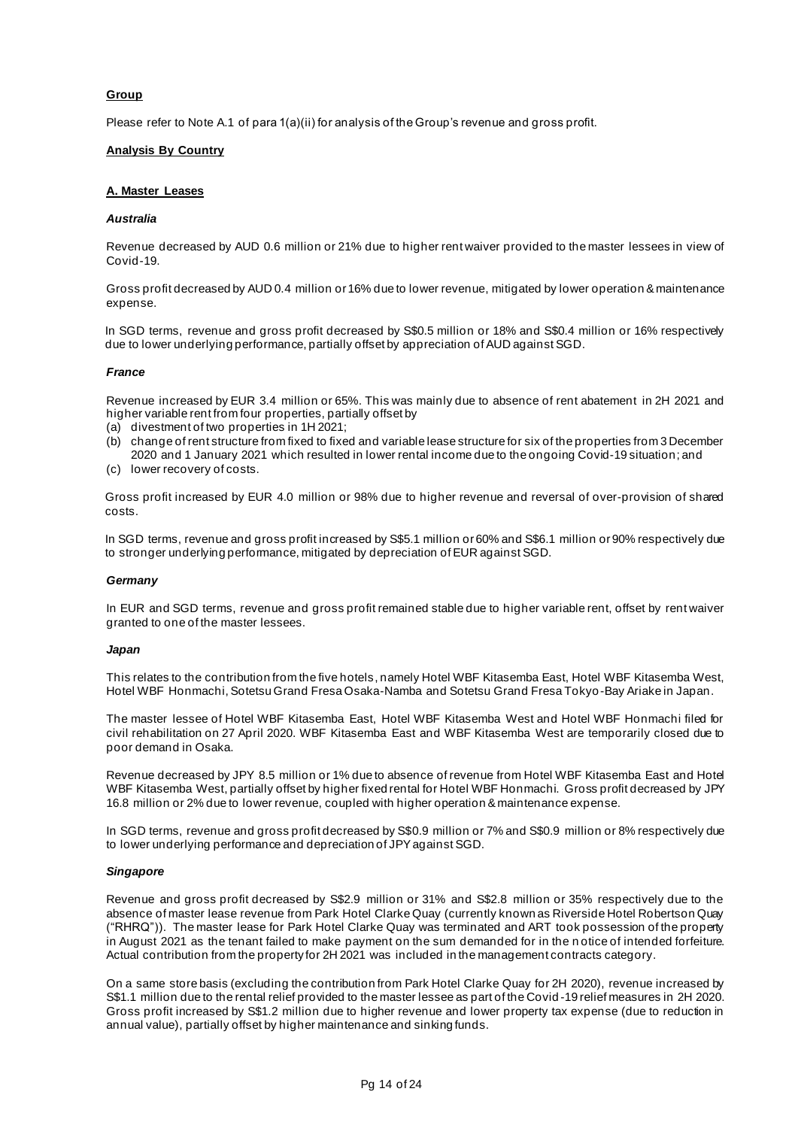## **Group**

Please refer to Note A.1 of para 1(a)(ii) for analysis of the Group's revenue and gross profit.

#### **Analysis By Country**

#### **A. Master Leases**

#### *Australia*

Revenue decreased by AUD 0.6 million or 21% due to higher rent waiver provided to the master lessees in view of Covid-19.

Gross profit decreased by AUD 0.4 million or 16% due to lower revenue, mitigated by lower operation & maintenance expense.

In SGD terms, revenue and gross profit decreased by S\$0.5 million or 18% and S\$0.4 million or 16% respectively due to lower underlying performance, partially offset by appreciation of AUD against SGD.

## *France*

Revenue increased by EUR 3.4 million or 65%. This was mainly due to absence of rent abatement in 2H 2021 and higher variable rent from four properties, partially offset by

- (a) divestment of two properties in 1H 2021;
- (b) change of rent structure from fixed to fixed and variable lease structure for six of the properties from 3 December 2020 and 1 January 2021 which resulted in lower rental income due to the ongoing Covid-19 situation; and
- (c) lower recovery of costs.

Gross profit increased by EUR 4.0 million or 98% due to higher revenue and reversal of over-provision of shared costs.

In SGD terms, revenue and gross profit increased by S\$5.1 million or 60% and S\$6.1 million or 90% respectively due to stronger underlying performance, mitigated by depreciation of EUR against SGD.

#### *Germany*

In EUR and SGD terms, revenue and gross profit remained stable due to higher variable rent, offset by rent waiver granted to one of the master lessees.

#### *Japan*

This relates to the contribution from the five hotels, namely Hotel WBF Kitasemba East, Hotel WBF Kitasemba West, Hotel WBF Honmachi, Sotetsu Grand Fresa Osaka-Namba and Sotetsu Grand Fresa Tokyo-Bay Ariake in Japan.

The master lessee of Hotel WBF Kitasemba East, Hotel WBF Kitasemba West and Hotel WBF Honmachi filed for civil rehabilitation on 27 April 2020. WBF Kitasemba East and WBF Kitasemba West are temporarily closed due to poor demand in Osaka.

Revenue decreased by JPY 8.5 million or 1% due to absence of revenue from Hotel WBF Kitasemba East and Hotel WBF Kitasemba West, partially offset by higher fixed rental for Hotel WBF Honmachi. Gross profit decreased by JPY 16.8 million or 2% due to lower revenue, coupled with higher operation & maintenance expense.

In SGD terms, revenue and gross profit decreased by S\$0.9 million or 7% and S\$0.9 million or 8% respectively due to lower underlying performance and depreciation of JPY against SGD.

#### *Singapore*

Revenue and gross profit decreased by S\$2.9 million or 31% and S\$2.8 million or 35% respectively due to the absence of master lease revenue from Park Hotel Clarke Quay (currently known as Riverside Hotel Robertson Quay ("RHRQ")). The master lease for Park Hotel Clarke Quay was terminated and ART took possession of the property in August 2021 as the tenant failed to make payment on the sum demanded for in the n otice of intended forfeiture. Actual contribution from the property for 2H 2021 was included in the management contracts category.

On a same store basis (excluding the contribution from Park Hotel Clarke Quay for 2H 2020), revenue increased by S\$1.1 million due to the rental relief provided to the master lessee as part of the Covid -19 relief measures in 2H 2020. Gross profit increased by S\$1.2 million due to higher revenue and lower property tax expense (due to reduction in annual value), partially offset by higher maintenance and sinking funds.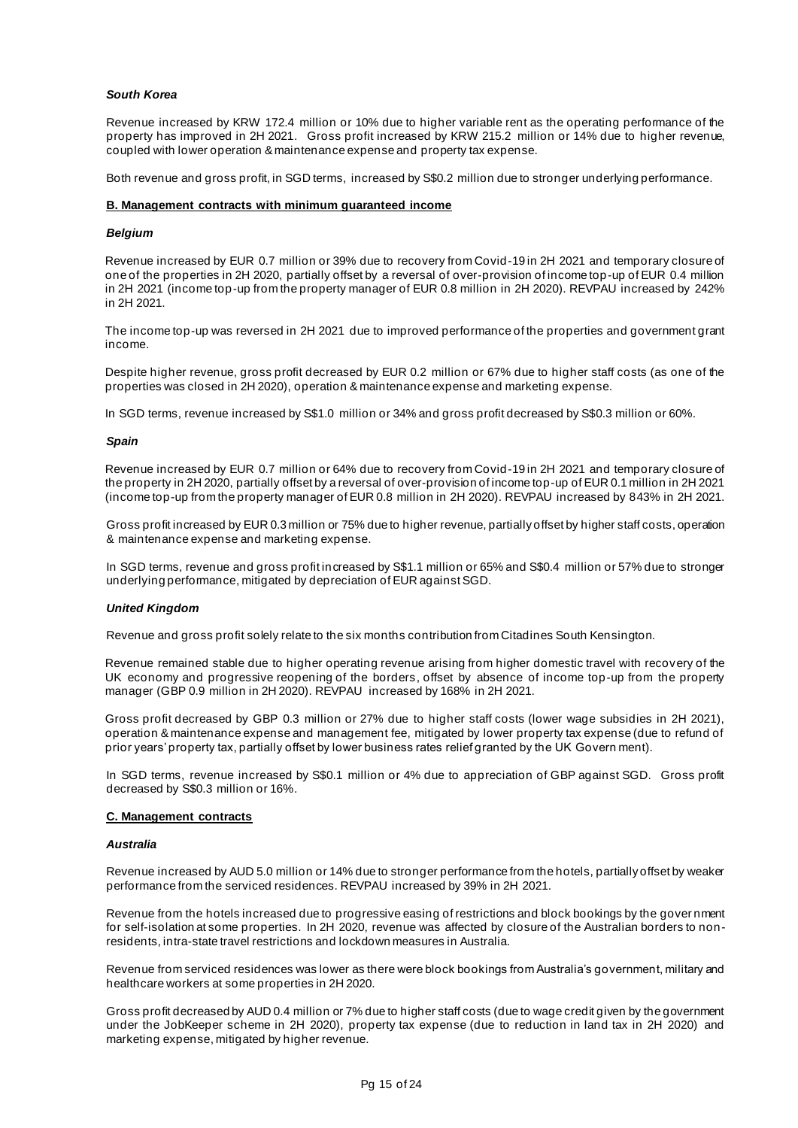### *South Korea*

Revenue increased by KRW 172.4 million or 10% due to higher variable rent as the operating performance of the property has improved in 2H 2021. Gross profit increased by KRW 215.2 million or 14% due to higher revenue, coupled with lower operation & maintenance expense and property tax expense.

Both revenue and gross profit, in SGD terms, increased by S\$0.2 million due to stronger underlying performance.

#### **B. Management contracts with minimum guaranteed income**

#### *Belgium*

Revenue increased by EUR 0.7 million or 39% due to recovery from Covid-19 in 2H 2021 and temporary closure of one of the properties in 2H 2020, partially offset by a reversal of over-provision of income top-up of EUR 0.4 million in 2H 2021 (income top-up from the property manager of EUR 0.8 million in 2H 2020). REVPAU increased by 242% in 2H 2021.

The income top-up was reversed in 2H 2021 due to improved performance of the properties and government grant income.

Despite higher revenue, gross profit decreased by EUR 0.2 million or 67% due to higher staff costs (as one of the properties was closed in 2H 2020), operation & maintenance expense and marketing expense.

In SGD terms, revenue increased by S\$1.0 million or 34% and gross profit decreased by S\$0.3 million or 60%.

#### *Spain*

Revenue increased by EUR 0.7 million or 64% due to recovery from Covid-19 in 2H 2021 and temporary closure of the property in 2H 2020, partially offset by a reversal of over-provision of income top-up of EUR 0.1 million in 2H 2021 (income top-up from the property manager of EUR 0.8 million in 2H 2020). REVPAU increased by 843% in 2H 2021.

Gross profit increased by EUR 0.3 million or 75% due to higher revenue, partially offset by higher staff costs, operation & maintenance expense and marketing expense.

In SGD terms, revenue and gross profit increased by S\$1.1 million or 65% and S\$0.4 million or 57% due to stronger underlying performance, mitigated by depreciation of EUR against SGD.

#### *United Kingdom*

Revenue and gross profit solely relate to the six months contribution from Citadines South Kensington.

Revenue remained stable due to higher operating revenue arising from higher domestic travel with recovery of the UK economy and progressive reopening of the borders, offset by absence of income top-up from the property manager (GBP 0.9 million in 2H 2020). REVPAU increased by 168% in 2H 2021.

Gross profit decreased by GBP 0.3 million or 27% due to higher staff costs (lower wage subsidies in 2H 2021), operation & maintenance expense and management fee, mitigated by lower property tax expense (due to refund of prior years' property tax, partially offset by lower business rates relief granted by the UK Govern ment).

In SGD terms, revenue increased by S\$0.1 million or 4% due to appreciation of GBP against SGD. Gross profit decreased by S\$0.3 million or 16%.

## **C. Management contracts**

#### *Australia*

Revenue increased by AUD 5.0 million or 14% due to stronger performance from the hotels, partially offset by weaker performance from the serviced residences. REVPAU increased by 39% in 2H 2021.

Revenue from the hotels increased due to progressive easing of restrictions and block bookings by the gover nment for self-isolation at some properties. In 2H 2020, revenue was affected by closure of the Australian borders to nonresidents, intra-state travel restrictions and lockdown measures in Australia.

Revenue from serviced residences was lower as there were block bookings from Australia's government, military and healthcare workers at some properties in 2H 2020.

Gross profit decreased by AUD 0.4 million or 7% due to higher staff costs (due to wage credit given by the government under the JobKeeper scheme in 2H 2020), property tax expense (due to reduction in land tax in 2H 2020) and marketing expense, mitigated by higher revenue.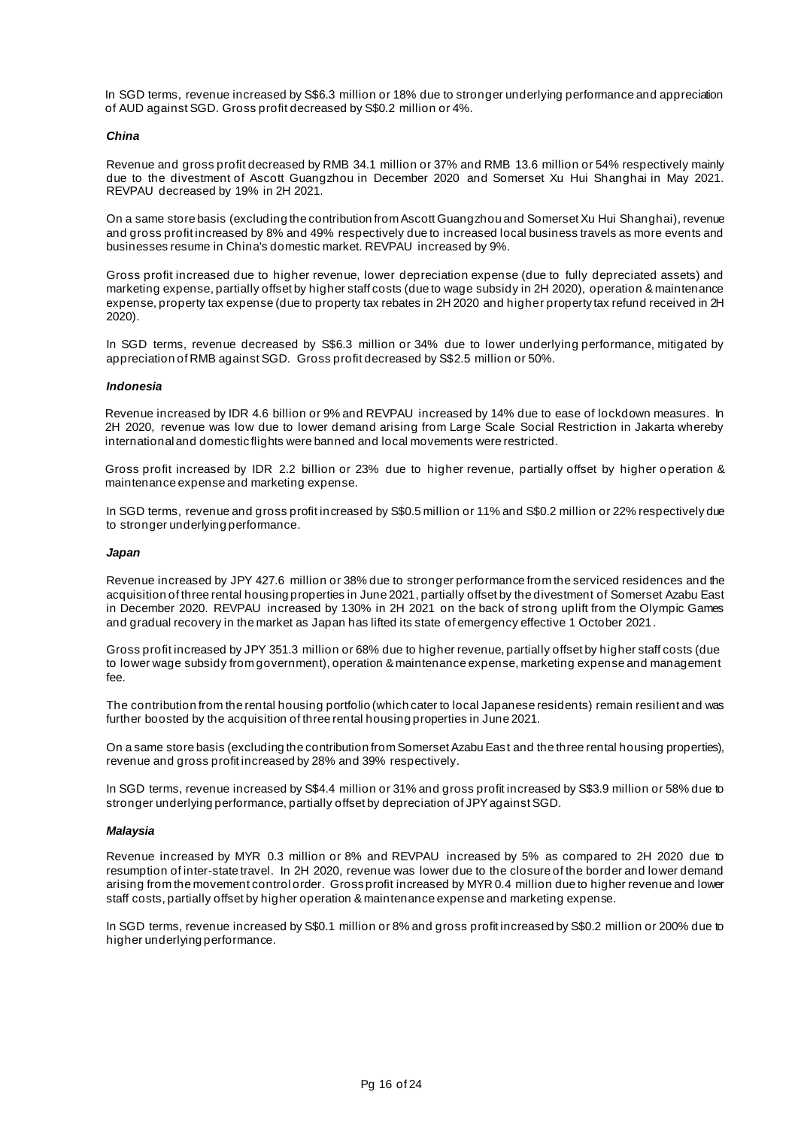In SGD terms, revenue increased by S\$6.3 million or 18% due to stronger underlying performance and appreciation of AUD against SGD. Gross profit decreased by S\$0.2 million or 4%.

#### *China*

Revenue and gross profit decreased by RMB 34.1 million or 37% and RMB 13.6 million or 54% respectively mainly due to the divestment of Ascott Guangzhou in December 2020 and Somerset Xu Hui Shanghai in May 2021. REVPAU decreased by 19% in 2H 2021.

On a same store basis (excluding the contribution from Ascott Guangzhou and Somerset Xu Hui Shanghai), revenue and gross profit increased by 8% and 49% respectively due to increased local business travels as more events and businesses resume in China's domestic market. REVPAU increased by 9%.

Gross profit increased due to higher revenue, lower depreciation expense (due to fully depreciated assets) and marketing expense, partially offset by higher staff costs (due to wage subsidy in 2H 2020), operation & maintenance expense, property tax expense (due to property tax rebates in 2H 2020 and higher property tax refund received in 2H 2020).

In SGD terms, revenue decreased by S\$6.3 million or 34% due to lower underlying performance, mitigated by appreciation of RMB against SGD. Gross profit decreased by S\$2.5 million or 50%.

#### *Indonesia*

Revenue increased by IDR 4.6 billion or 9% and REVPAU increased by 14% due to ease of lockdown measures. In 2H 2020, revenue was low due to lower demand arising from Large Scale Social Restriction in Jakarta whereby international and domestic flights were banned and local movements were restricted.

Gross profit increased by IDR 2.2 billion or 23% due to higher revenue, partially offset by higher operation & maintenance expense and marketing expense.

In SGD terms, revenue and gross profit increased by S\$0.5 million or 11% and S\$0.2 million or 22% respectively due to stronger underlying performance.

#### *Japan*

Revenue increased by JPY 427.6 million or 38% due to stronger performance from the serviced residences and the acquisition of three rental housing properties in June 2021, partially offset by the divestment of Somerset Azabu East in December 2020. REVPAU increased by 130% in 2H 2021 on the back of strong uplift from the Olympic Games and gradual recovery in the market as Japan has lifted its state of emergency effective 1 October 2021.

Gross profit increased by JPY 351.3 million or 68% due to higher revenue, partially offset by higher staff costs (due to lower wage subsidy from government), operation & maintenance expense, marketing expense and management fee.

The contribution from the rental housing portfolio (which cater to local Japanese residents) remain resilient and was further boosted by the acquisition of three rental housing properties in June 2021.

On a same store basis (excluding the contribution from Somerset Azabu Eas t and the three rental housing properties), revenue and gross profit increased by 28% and 39% respectively.

In SGD terms, revenue increased by S\$4.4 million or 31% and gross profit increased by S\$3.9 million or 58% due to stronger underlying performance, partially offset by depreciation of JPY against SGD.

#### *Malaysia*

Revenue increased by MYR 0.3 million or 8% and REVPAU increased by 5% as compared to 2H 2020 due to resumption of inter-state travel. In 2H 2020, revenue was lower due to the closure of the border and lower demand arising from the movement control order. Gross profit increased by MYR 0.4 million due to higher revenue and lower staff costs, partially offset by higher operation & maintenance expense and marketing expense.

In SGD terms, revenue increased by S\$0.1 million or 8% and gross profit increased by S\$0.2 million or 200% due to higher underlying performance.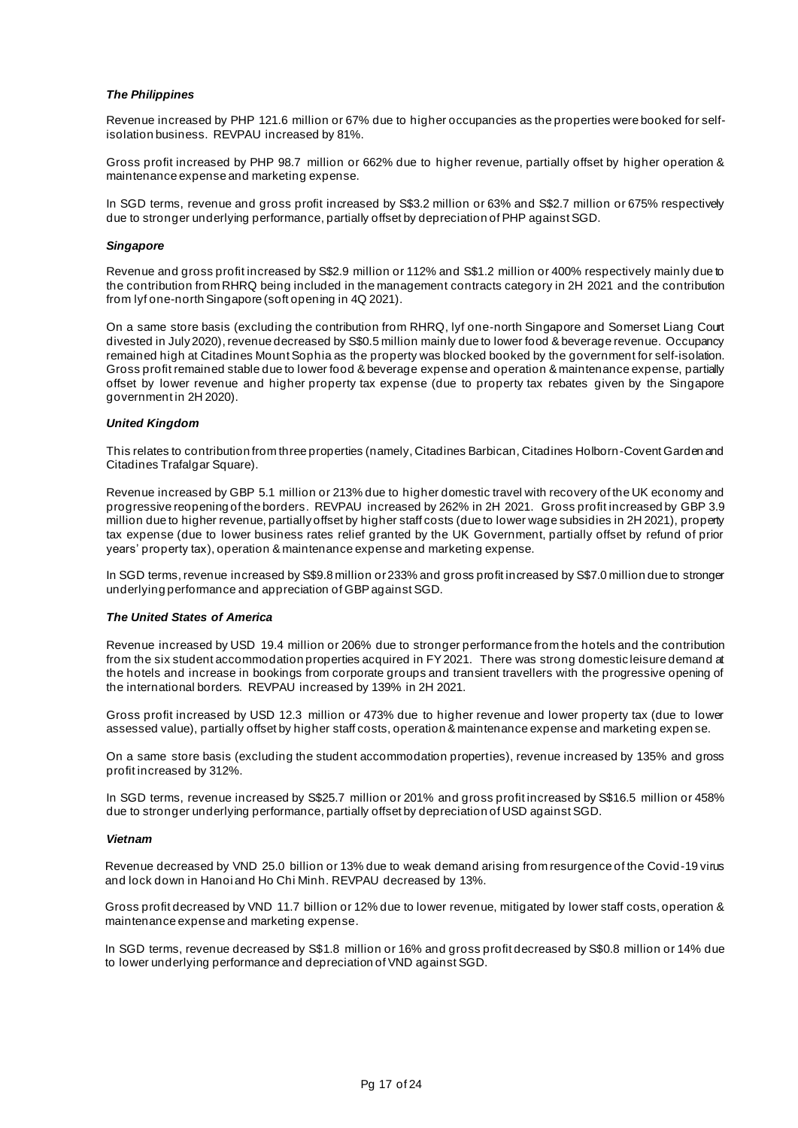### *The Philippines*

Revenue increased by PHP 121.6 million or 67% due to higher occupancies as the properties were booked for selfisolation business. REVPAU increased by 81%.

Gross profit increased by PHP 98.7 million or 662% due to higher revenue, partially offset by higher operation & maintenance expense and marketing expense.

In SGD terms, revenue and gross profit increased by S\$3.2 million or 63% and S\$2.7 million or 675% respectively due to stronger underlying performance, partially offset by depreciation of PHP against SGD.

#### *Singapore*

Revenue and gross profit increased by S\$2.9 million or 112% and S\$1.2 million or 400% respectively mainly due to the contribution from RHRQ being included in the management contracts category in 2H 2021 and the contribution from lyf one-north Singapore (soft opening in 4Q 2021).

On a same store basis (excluding the contribution from RHRQ, lyf one-north Singapore and Somerset Liang Court divested in July 2020), revenue decreased by S\$0.5 million mainly due to lower food & beverage revenue. Occupancy remained high at Citadines Mount Sophia as the property was blocked booked by the government for self-isolation. Gross profit remained stable due to lower food & beverage expense and operation & maintenance expense, partially offset by lower revenue and higher property tax expense (due to property tax rebates given by the Singapore government in 2H 2020).

#### *United Kingdom*

This relates to contribution from three properties (namely, Citadines Barbican, Citadines Holborn-Covent Garden and Citadines Trafalgar Square).

Revenue increased by GBP 5.1 million or 213% due to higher domestic travel with recovery of the UK economy and progressive reopening of the borders. REVPAU increased by 262% in 2H 2021. Gross profit increased by GBP 3.9 million due to higher revenue, partially offset by higher staff costs (due to lower wage subsidies in 2H 2021), property tax expense (due to lower business rates relief granted by the UK Government, partially offset by refund of prior years' property tax), operation & maintenance expense and marketing expense.

In SGD terms, revenue increased by S\$9.8 million or 233% and gross profit increased by S\$7.0 million due to stronger underlying performance and appreciation of GBP against SGD.

#### *The United States of America*

Revenue increased by USD 19.4 million or 206% due to stronger performance from the hotels and the contribution from the six student accommodation properties acquired in FY 2021. There was strong domestic leisure demand at the hotels and increase in bookings from corporate groups and transient travellers with the progressive opening of the international borders. REVPAU increased by 139% in 2H 2021.

Gross profit increased by USD 12.3 million or 473% due to higher revenue and lower property tax (due to lower assessed value), partially offset by higher staff costs, operation & maintenance expense and marketing expen se.

On a same store basis (excluding the student accommodation properties), revenue increased by 135% and gross profit increased by 312%.

In SGD terms, revenue increased by S\$25.7 million or 201% and gross profit increased by S\$16.5 million or 458% due to stronger underlying performance, partially offset by depreciation of USD against SGD.

#### *Vietnam*

Revenue decreased by VND 25.0 billion or 13% due to weak demand arising from resurgence of the Covid-19 virus and lock down in Hanoi and Ho Chi Minh. REVPAU decreased by 13%.

Gross profit decreased by VND 11.7 billion or 12% due to lower revenue, mitigated by lower staff costs, operation & maintenance expense and marketing expense.

In SGD terms, revenue decreased by S\$1.8 million or 16% and gross profit decreased by S\$0.8 million or 14% due to lower underlying performance and depreciation of VND against SGD.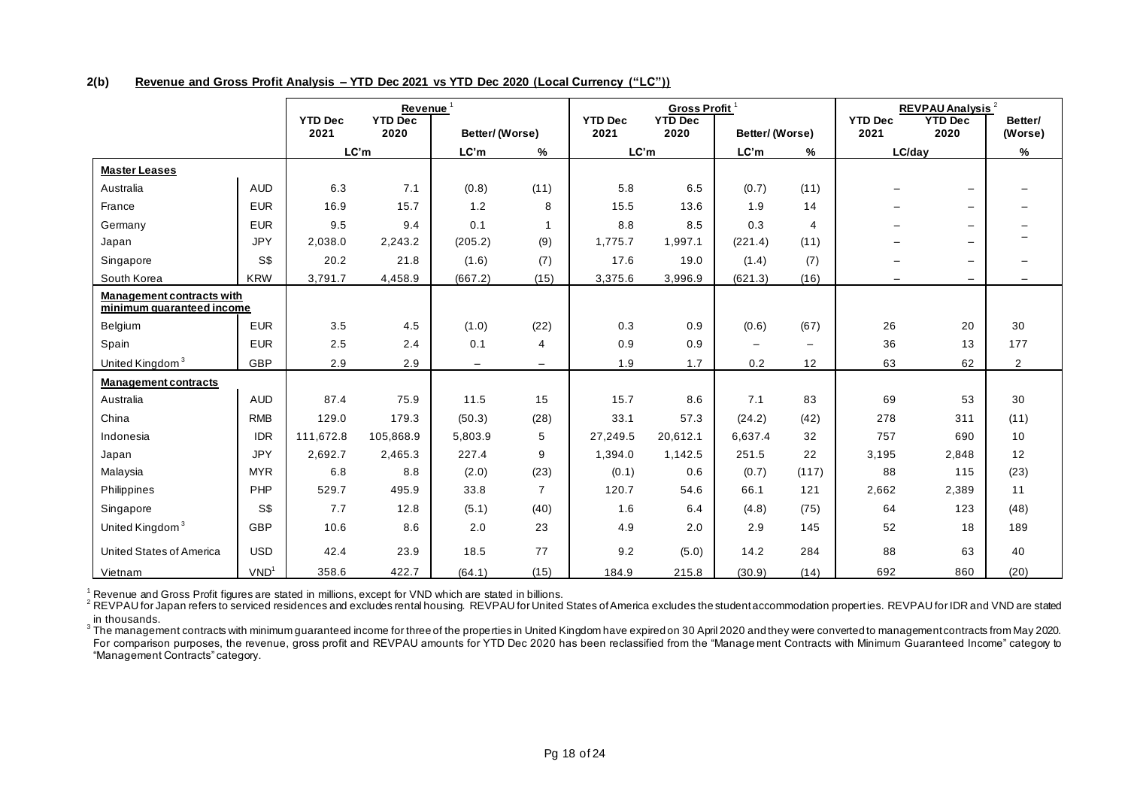**2(b) Revenue and Gross Profit Analysis – YTD Dec 2021 vs YTD Dec 2020 (Local Currency ("LC"))** 

|                                  | Revenue <sup>1</sup><br><b>YTD Dec</b><br><b>YTD Dec</b> |           |           |                | <b>YTD Dec</b>           | Gross Profit <sup>1</sup><br><b>YTD Dec</b> |          |                          | <b>REVPAU Analysis<sup>2</sup></b><br><b>YTD Dec</b><br><b>YTD Dec</b><br>Better/ |                          |                          |                          |
|----------------------------------|----------------------------------------------------------|-----------|-----------|----------------|--------------------------|---------------------------------------------|----------|--------------------------|-----------------------------------------------------------------------------------|--------------------------|--------------------------|--------------------------|
|                                  |                                                          | 2021      | 2020      | Better/(Worse) |                          | 2021                                        | 2020     | Better/(Worse)           |                                                                                   | 2021                     | 2020                     | (Worse)                  |
|                                  |                                                          |           | LC'm      | LC'm           | %                        | LC'm                                        |          | LC'm                     | %                                                                                 | LC/day                   |                          | %                        |
| <b>Master Leases</b>             |                                                          |           |           |                |                          |                                             |          |                          |                                                                                   |                          |                          |                          |
| Australia                        | <b>AUD</b>                                               | 6.3       | 7.1       | (0.8)          | (11)                     | 5.8                                         | 6.5      | (0.7)                    | (11)                                                                              | $\overline{\phantom{0}}$ | $\overline{\phantom{m}}$ |                          |
| France                           | <b>EUR</b>                                               | 16.9      | 15.7      | 1.2            | 8                        | 15.5                                        | 13.6     | 1.9                      | 14                                                                                |                          | $\overline{\phantom{m}}$ |                          |
| Germany                          | <b>EUR</b>                                               | 9.5       | 9.4       | 0.1            | $\overline{1}$           | 8.8                                         | 8.5      | 0.3                      | 4                                                                                 |                          | $\overline{\phantom{m}}$ |                          |
| Japan                            | <b>JPY</b>                                               | 2,038.0   | 2,243.2   | (205.2)        | (9)                      | 1,775.7                                     | 1,997.1  | (221.4)                  | (11)                                                                              |                          | $\overline{\phantom{m}}$ |                          |
| Singapore                        | S\$                                                      | 20.2      | 21.8      | (1.6)          | (7)                      | 17.6                                        | 19.0     | (1.4)                    | (7)                                                                               |                          | $\overline{\phantom{m}}$ | $\overline{\phantom{0}}$ |
| South Korea                      | <b>KRW</b>                                               | 3,791.7   | 4,458.9   | (667.2)        | (15)                     | 3,375.6                                     | 3,996.9  | (621.3)                  | (16)                                                                              | $\overline{\phantom{m}}$ | $\qquad \qquad -$        |                          |
| <b>Management contracts with</b> |                                                          |           |           |                |                          |                                             |          |                          |                                                                                   |                          |                          |                          |
| minimum quaranteed income        |                                                          |           |           |                |                          |                                             |          |                          |                                                                                   |                          |                          |                          |
| Belgium                          | <b>EUR</b>                                               | 3.5       | 4.5       | (1.0)          | (22)                     | 0.3                                         | 0.9      | (0.6)                    | (67)                                                                              | 26                       | 20                       | 30                       |
| Spain                            | <b>EUR</b>                                               | 2.5       | 2.4       | 0.1            | $\overline{4}$           | 0.9                                         | 0.9      | $\overline{\phantom{m}}$ | $\qquad \qquad -$                                                                 | 36                       | 13                       | 177                      |
| United Kingdom <sup>3</sup>      | <b>GBP</b>                                               | 2.9       | 2.9       | $-$            | $\overline{\phantom{a}}$ | 1.9                                         | 1.7      | 0.2                      | 12                                                                                | 63                       | 62                       | $\overline{2}$           |
| <b>Management contracts</b>      |                                                          |           |           |                |                          |                                             |          |                          |                                                                                   |                          |                          |                          |
| Australia                        | <b>AUD</b>                                               | 87.4      | 75.9      | 11.5           | 15                       | 15.7                                        | 8.6      | 7.1                      | 83                                                                                | 69                       | 53                       | 30                       |
| China                            | <b>RMB</b>                                               | 129.0     | 179.3     | (50.3)         | (28)                     | 33.1                                        | 57.3     | (24.2)                   | (42)                                                                              | 278                      | 311                      | (11)                     |
| Indonesia                        | <b>IDR</b>                                               | 111,672.8 | 105,868.9 | 5,803.9        | 5                        | 27,249.5                                    | 20,612.1 | 6,637.4                  | 32                                                                                | 757                      | 690                      | 10                       |
| Japan                            | <b>JPY</b>                                               | 2,692.7   | 2,465.3   | 227.4          | 9                        | 1.394.0                                     | 1,142.5  | 251.5                    | 22                                                                                | 3,195                    | 2.848                    | 12                       |
| Malaysia                         | <b>MYR</b>                                               | 6.8       | 8.8       | (2.0)          | (23)                     | (0.1)                                       | 0.6      | (0.7)                    | (117)                                                                             | 88                       | 115                      | (23)                     |
| Philippines                      | PHP                                                      | 529.7     | 495.9     | 33.8           | $\overline{7}$           | 120.7                                       | 54.6     | 66.1                     | 121                                                                               | 2,662                    | 2,389                    | 11                       |
| Singapore                        | S\$                                                      | 7.7       | 12.8      | (5.1)          | (40)                     | 1.6                                         | 6.4      | (4.8)                    | (75)                                                                              | 64                       | 123                      | (48)                     |
| United Kingdom <sup>3</sup>      | <b>GBP</b>                                               | 10.6      | 8.6       | 2.0            | 23                       | 4.9                                         | 2.0      | 2.9                      | 145                                                                               | 52                       | 18                       | 189                      |
| <b>United States of America</b>  | <b>USD</b>                                               | 42.4      | 23.9      | 18.5           | 77                       | 9.2                                         | (5.0)    | 14.2                     | 284                                                                               | 88                       | 63                       | 40                       |
| Vietnam                          | VND <sup>1</sup>                                         | 358.6     | 422.7     | (64.1)         | (15)                     | 184.9                                       | 215.8    | (30.9)                   | (14)                                                                              | 692                      | 860                      | (20)                     |

<sup>1</sup> Revenue and Gross Profit figures are stated in millions, except for VND which are stated in billions.

<sup>2</sup> REVPAU for Japan refers to serviced residences and excludes rental housing. REVPAU for United States of America excludes the student accommodation properties. REVPAU for IDR and VND are stated in thousands.

 $^3$  The management contracts with minimum guaranteed income for three of the properties in United Kingdom have expired on 30 April 2020 and they were converted to management contracts from May 2020. For comparison purposes, the revenue, gross profit and REVPAU amounts for YTD Dec 2020 has been reclassified from the "Manage ment Contracts with Minimum Guaranteed Income" category to "Management Contracts" category.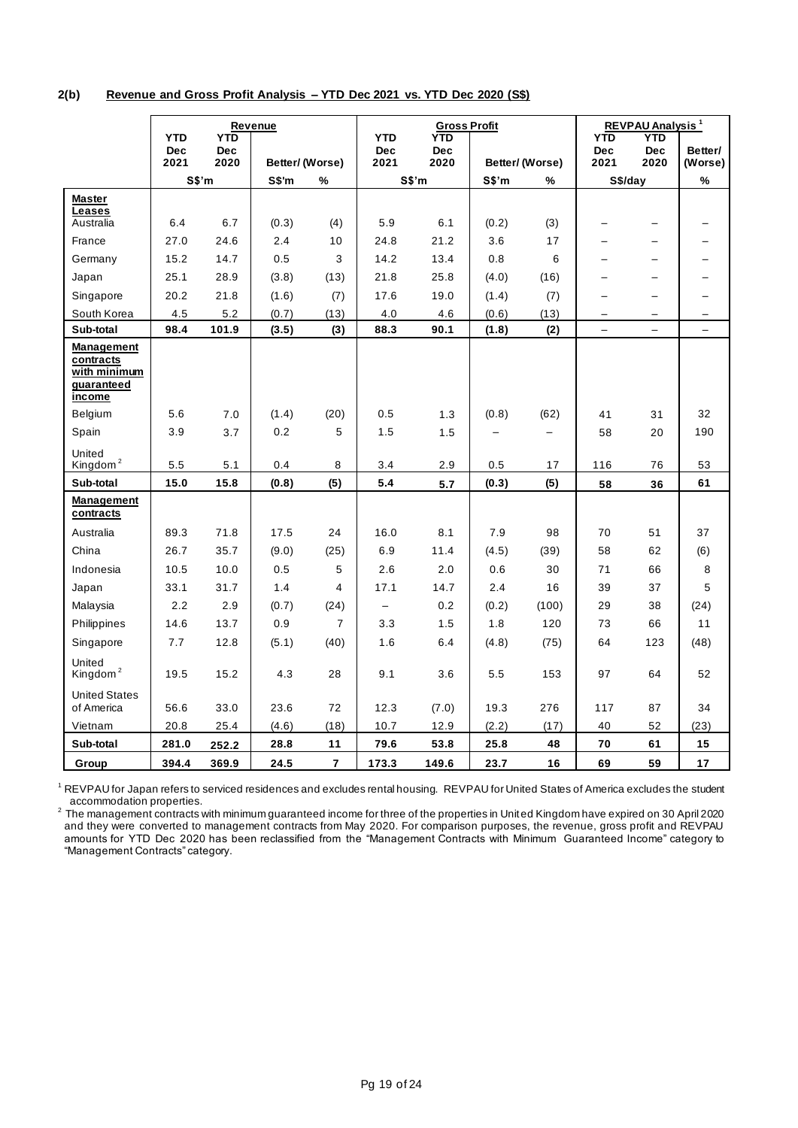## **2(b) Revenue and Gross Profit Analysis – YTD Dec 2021 vs. YTD Dec 2020 (S\$)**

|                                                                        | Revenue<br><b>YTD</b><br><b>YTD</b> |                    |                 | <b>YTD</b>              | <b>Gross Profit</b><br>YTD. |                    |       | <b>REVPAU Analysis<sup>1</sup></b><br><b>YTD</b><br><b>YTD</b> |                          |                          |                          |
|------------------------------------------------------------------------|-------------------------------------|--------------------|-----------------|-------------------------|-----------------------------|--------------------|-------|----------------------------------------------------------------|--------------------------|--------------------------|--------------------------|
|                                                                        | <b>Dec</b><br>2021                  | <b>Dec</b><br>2020 | Better/ (Worse) |                         | <b>Dec</b><br>2021          | <b>Dec</b><br>2020 |       | Better/(Worse)                                                 | <b>Dec</b><br>2021       | <b>Dec</b><br>2020       | Better/<br>(Worse)       |
|                                                                        |                                     | S\$'m              | S\$'m           | %                       |                             | S\$'m              | S\$'m | %                                                              | S\$/day                  |                          | $\%$                     |
| <b>Master</b><br>Leases                                                |                                     |                    |                 |                         |                             |                    |       |                                                                |                          |                          |                          |
| Australia                                                              | 6.4                                 | 6.7                | (0.3)           | (4)                     | 5.9                         | 6.1                | (0.2) | (3)                                                            |                          | —                        |                          |
| France                                                                 | 27.0                                | 24.6               | 2.4             | 10                      | 24.8                        | 21.2               | 3.6   | 17                                                             |                          |                          |                          |
| Germany                                                                | 15.2                                | 14.7               | 0.5             | 3                       | 14.2                        | 13.4               | 0.8   | 6                                                              |                          | $\overline{\phantom{0}}$ |                          |
| Japan                                                                  | 25.1                                | 28.9               | (3.8)           | (13)                    | 21.8                        | 25.8               | (4.0) | (16)                                                           |                          |                          |                          |
| Singapore                                                              | 20.2                                | 21.8               | (1.6)           | (7)                     | 17.6                        | 19.0               | (1.4) | (7)                                                            |                          |                          |                          |
| South Korea                                                            | 4.5                                 | 5.2                | (0.7)           | (13)                    | 4.0                         | 4.6                | (0.6) | (13)                                                           | $\overline{\phantom{0}}$ | $\overline{\phantom{0}}$ |                          |
| Sub-total                                                              | 98.4                                | 101.9              | (3.5)           | (3)                     | 88.3                        | 90.1               | (1.8) | (2)                                                            | $\overline{\phantom{m}}$ | $\overline{\phantom{0}}$ | $\overline{\phantom{0}}$ |
| Management<br>contracts<br>with minimum<br>guaranteed<br><u>income</u> |                                     |                    |                 |                         |                             |                    |       |                                                                |                          |                          |                          |
| Belgium                                                                | 5.6                                 | 7.0                | (1.4)           | (20)                    | 0.5                         | 1.3                | (0.8) | (62)                                                           | 41                       | 31                       | 32                       |
| Spain                                                                  | 3.9                                 | 3.7                | 0.2             | 5                       | 1.5                         | 1.5                |       |                                                                | 58                       | 20                       | 190                      |
| United<br>Kingdom <sup>2</sup>                                         | 5.5                                 | 5.1                | 0.4             | 8                       | 3.4                         | 2.9                | 0.5   | 17                                                             | 116                      | 76                       | 53                       |
| Sub-total                                                              | 15.0                                | 15.8               | (0.8)           | (5)                     | 5.4                         | 5.7                | (0.3) | (5)                                                            | 58                       | 36                       | 61                       |
| Management<br>contracts                                                |                                     |                    |                 |                         |                             |                    |       |                                                                |                          |                          |                          |
| Australia                                                              | 89.3                                | 71.8               | 17.5            | 24                      | 16.0                        | 8.1                | 7.9   | 98                                                             | 70                       | 51                       | 37                       |
| China                                                                  | 26.7                                | 35.7               | (9.0)           | (25)                    | 6.9                         | 11.4               | (4.5) | (39)                                                           | 58                       | 62                       | (6)                      |
| Indonesia                                                              | 10.5                                | 10.0               | 0.5             | 5                       | 2.6                         | 2.0                | 0.6   | 30                                                             | 71                       | 66                       | 8                        |
| Japan                                                                  | 33.1                                | 31.7               | 1.4             | $\overline{4}$          | 17.1                        | 14.7               | 2.4   | 16                                                             | 39                       | 37                       | 5                        |
| Malaysia                                                               | 2.2                                 | 2.9                | (0.7)           | (24)                    | $\qquad \qquad -$           | 0.2                | (0.2) | (100)                                                          | 29                       | 38                       | (24)                     |
| Philippines                                                            | 14.6                                | 13.7               | 0.9             | $\overline{7}$          | 3.3                         | 1.5                | 1.8   | 120                                                            | 73                       | 66                       | 11                       |
| Singapore                                                              | 7.7                                 | 12.8               | (5.1)           | (40)                    | 1.6                         | 6.4                | (4.8) | (75)                                                           | 64                       | 123                      | (48)                     |
| United<br>Kingdom <sup>2</sup>                                         | 19.5                                | 15.2               | 4.3             | 28                      | 9.1                         | 3.6                | 5.5   | 153                                                            | 97                       | 64                       | 52                       |
| <b>United States</b><br>of America                                     | 56.6                                | 33.0               | 23.6            | 72                      | 12.3                        | (7.0)              | 19.3  | 276                                                            | 117                      | 87                       | 34                       |
| Vietnam                                                                | 20.8                                | 25.4               | (4.6)           | (18)                    | 10.7                        | 12.9               | (2.2) | (17)                                                           | 40                       | 52                       | (23)                     |
| Sub-total                                                              | 281.0                               | 252.2              | 28.8            | 11                      | 79.6                        | 53.8               | 25.8  | 48                                                             | ${\bf 70}$               | 61                       | 15                       |
| Group                                                                  | 394.4                               | 369.9              | 24.5            | $\overline{\mathbf{r}}$ | 173.3                       | 149.6              | 23.7  | 16                                                             | 69                       | 59                       | 17                       |

<sup>1</sup> REVPAU for Japan refers to serviced residences and excludes rental housing. REVPAU for United States of America excludes the student accommodation properties.

 $^2$  The management contracts with minimum guaranteed income for three of the properties in United Kingdom have expired on 30 April 2020 and they were converted to management contracts from May 2020. For comparison purposes, the revenue, gross profit and REVPAU amounts for YTD Dec 2020 has been reclassified from the "Management Contracts with Minimum Guaranteed Income" category to "Management Contracts" category.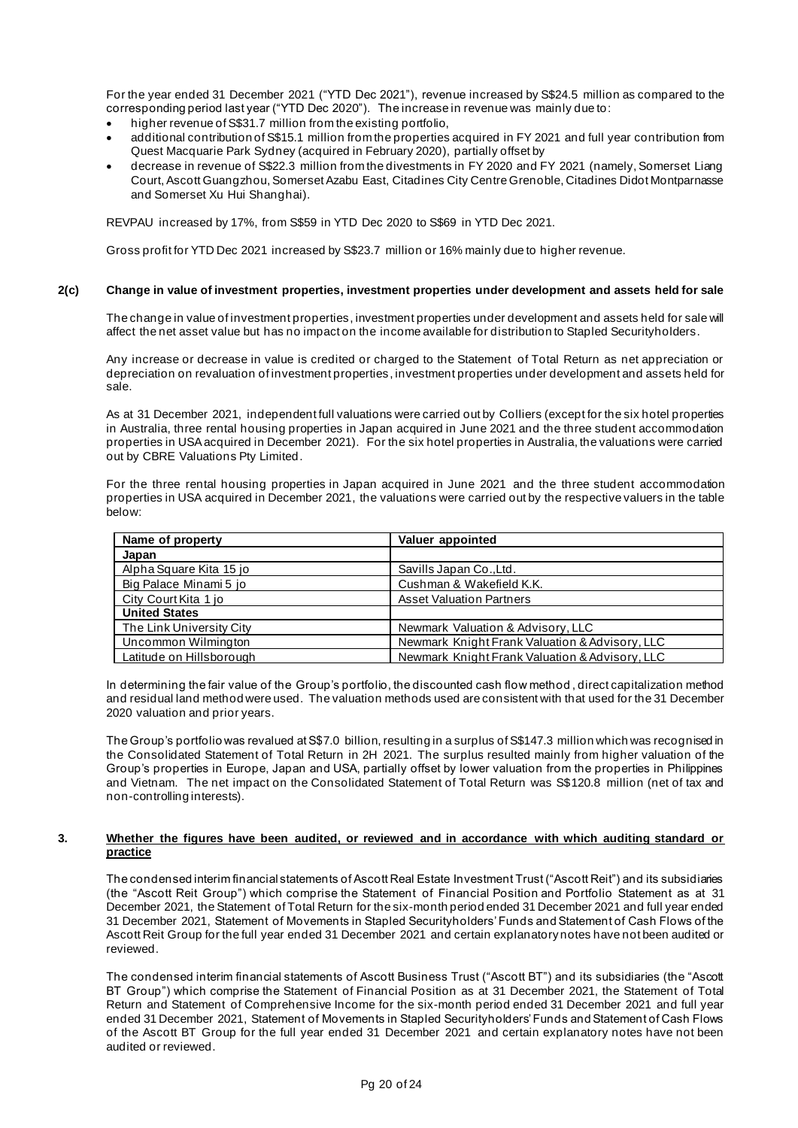For the year ended 31 December 2021 ("YTD Dec 2021"), revenue increased by S\$24.5 million as compared to the corresponding period last year ("YTD Dec 2020"). The increase in revenue was mainly due to:

- higher revenue of S\$31.7 million from the existing portfolio,
- additional contribution of S\$15.1 million from the properties acquired in FY 2021 and full year contribution from Quest Macquarie Park Sydney (acquired in February 2020), partially offset by
- decrease in revenue of S\$22.3 million from the divestments in FY 2020 and FY 2021 (namely, Somerset Liang Court, Ascott Guangzhou, Somerset Azabu East, Citadines City Centre Grenoble, Citadines Didot Montparnasse and Somerset Xu Hui Shanghai).

REVPAU increased by 17%, from S\$59 in YTD Dec 2020 to S\$69 in YTD Dec 2021.

Gross profit for YTD Dec 2021 increased by S\$23.7 million or 16% mainly due to higher revenue.

#### **2(c) Change in value of investment properties, investment properties under development and assets held for sale**

The change in value of investment properties, investment properties under development and assets held for sale will affect the net asset value but has no impact on the income available for distribution to Stapled Securityholders.

Any increase or decrease in value is credited or charged to the Statement of Total Return as net appreciation or depreciation on revaluation of investment properties, investment properties under development and assets held for sale.

As at 31 December 2021, independent full valuations were carried out by Colliers (except for the six hotel properties in Australia, three rental housing properties in Japan acquired in June 2021 and the three student accommodation properties in USA acquired in December 2021). For the six hotel properties in Australia, the valuations were carried out by CBRE Valuations Pty Limited.

For the three rental housing properties in Japan acquired in June 2021 and the three student accommodation properties in USA acquired in December 2021, the valuations were carried out by the respective valuers in the table below:

| Name of property         | Valuer appointed                               |
|--------------------------|------------------------------------------------|
| Japan                    |                                                |
| Alpha Square Kita 15 jo  | Savills Japan Co., Ltd.                        |
| Big Palace Minami 5 jo   | Cushman & Wakefield K.K.                       |
| City Court Kita 1 jo     | <b>Asset Valuation Partners</b>                |
| <b>United States</b>     |                                                |
| The Link University City | Newmark Valuation & Advisory, LLC              |
| Uncommon Wilmington      | Newmark Knight Frank Valuation & Advisory, LLC |
| Latitude on Hillsborough | Newmark Knight Frank Valuation & Advisory, LLC |

In determining the fair value of the Group's portfolio, the discounted cash flow method , direct capitalization method and residual land method were used. The valuation methods used are consistent with that used for the 31 December 2020 valuation and prior years.

The Group's portfolio was revalued at S\$7.0 billion, resulting in a surplus of S\$147.3 million which was recognised in the Consolidated Statement of Total Return in 2H 2021. The surplus resulted mainly from higher valuation of the Group's properties in Europe, Japan and USA, partially offset by lower valuation from the properties in Philippines and Vietnam. The net impact on the Consolidated Statement of Total Return was S\$120.8 million (net of tax and non-controlling interests).

#### **3. Whether the figures have been audited, or reviewed and in accordance with which auditing standard or practice**

The condensed interim financial statements of Ascott Real Estate Investment Trust ("Ascott Reit") and its subsidiaries (the "Ascott Reit Group") which comprise the Statement of Financial Position and Portfolio Statement as at 31 December 2021, the Statement of Total Return for the six-month period ended 31 December 2021 and full year ended 31 December 2021, Statement of Movements in Stapled Securityholders' Funds and Statement of Cash Flows of the Ascott Reit Group for the full year ended 31 December 2021 and certain explanatory notes have not been audited or reviewed.

The condensed interim financial statements of Ascott Business Trust ("Ascott BT") and its subsidiaries (the "Ascott BT Group") which comprise the Statement of Financial Position as at 31 December 2021, the Statement of Total Return and Statement of Comprehensive Income for the six-month period ended 31 December 2021 and full year ended 31 December 2021, Statement of Movements in Stapled Securityholders' Funds and Statement of Cash Flows of the Ascott BT Group for the full year ended 31 December 2021 and certain explanatory notes have not been audited or reviewed.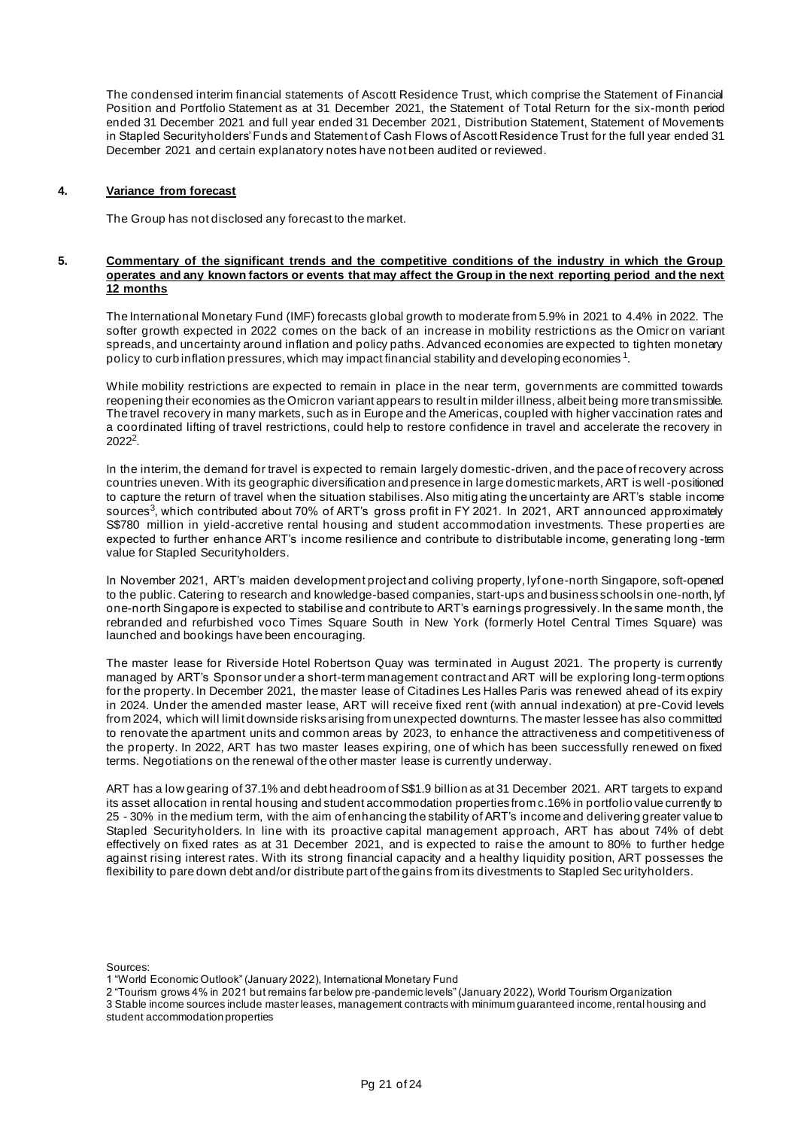The condensed interim financial statements of Ascott Residence Trust, which comprise the Statement of Financial Position and Portfolio Statement as at 31 December 2021, the Statement of Total Return for the six-month period ended 31 December 2021 and full year ended 31 December 2021, Distribution Statement, Statement of Movements in Stapled Securityholders' Funds and Statement of Cash Flows of Ascott Residence Trust for the full year ended 31 December 2021 and certain explanatory notes have not been audited or reviewed.

#### **4. Variance from forecast**

The Group has not disclosed any forecast to the market.

#### **5. Commentary of the significant trends and the competitive conditions of the industry in which the Group operates and any known factors or events that may affect the Group in the next reporting period and the next 12 months**

The International Monetary Fund (IMF) forecasts global growth to moderate from 5.9% in 2021 to 4.4% in 2022. The softer growth expected in 2022 comes on the back of an increase in mobility restrictions as the Omicron variant spreads, and uncertainty around inflation and policy paths. Advanced economies are expected to tighten monetary policy to curb inflation pressures, which may impact financial stability and developing economies  $^{\rm 1}$ .

While mobility restrictions are expected to remain in place in the near term, governments are committed towards reopening their economies as the Omicron variant appears to result in milder illness, albeit being more transmissible. The travel recovery in many markets, such as in Europe and the Americas, coupled with higher vaccination rates and a coordinated lifting of travel restrictions, could help to restore confidence in travel and accelerate the recovery in  $2022^2$ .

In the interim, the demand for travel is expected to remain largely domestic-driven, and the pace of recovery across countries uneven. With its geographic diversification and presence in large domestic markets, ART is well -positioned to capture the return of travel when the situation stabilises. Also mitig ating the uncertainty are ART's stable income sources<sup>3</sup>, which contributed about 70% of ART's gross profit in FY 2021. In 2021, ART announced approximately S\$780 million in yield-accretive rental housing and student accommodation investments. These properties are expected to further enhance ART's income resilience and contribute to distributable income, generating long -term value for Stapled Securityholders.

In November 2021, ART's maiden development project and coliving property, lyf one-north Singapore, soft-opened to the public. Catering to research and knowledge-based companies, start-ups and business schools in one-north, lyf one-north Singapore is expected to stabilise and contribute to ART's earnings progressively. In the same month, the rebranded and refurbished voco Times Square South in New York (formerly Hotel Central Times Square) was launched and bookings have been encouraging.

The master lease for Riverside Hotel Robertson Quay was terminated in August 2021. The property is currently managed by ART's Sponsor under a short-term management contract and ART will be exploring long-term options for the property. In December 2021, the master lease of Citadines Les Halles Paris was renewed ahead of its expiry in 2024. Under the amended master lease, ART will receive fixed rent (with annual indexation) at pre-Covid levels from 2024, which will limit downside risks arising from unexpected downturns. The master lessee has also committed to renovate the apartment units and common areas by 2023, to enhance the attractiveness and competitiveness of the property. In 2022, ART has two master leases expiring, one of which has been successfully renewed on fixed terms. Negotiations on the renewal of the other master lease is currently underway.

ART has a low gearing of 37.1% and debt headroom of S\$1.9 billion as at 31 December 2021. ART targets to expand its asset allocation in rental housing and student accommodation properties from c.16% in portfolio value currently to 25 - 30% in the medium term, with the aim of enhancing the stability of ART's income and delivering greater value to Stapled Securityholders. In line with its proactive capital management approach, ART has about 74% of debt effectively on fixed rates as at 31 December 2021, and is expected to raise the amount to 80% to further hedge against rising interest rates. With its strong financial capacity and a healthy liquidity position, ART possesses the flexibility to pare down debt and/or distribute part of the gains from its divestments to Stapled Sec urityholders.

Sources:

1 "World Economic Outlook" (January 2022), International Monetary Fund

2 "Tourism grows 4% in 2021 but remains far below pre-pandemic levels" (January 2022), World Tourism Organization

3 Stable income sources include master leases, management contracts with minimum guaranteed income, rental housing and student accommodation properties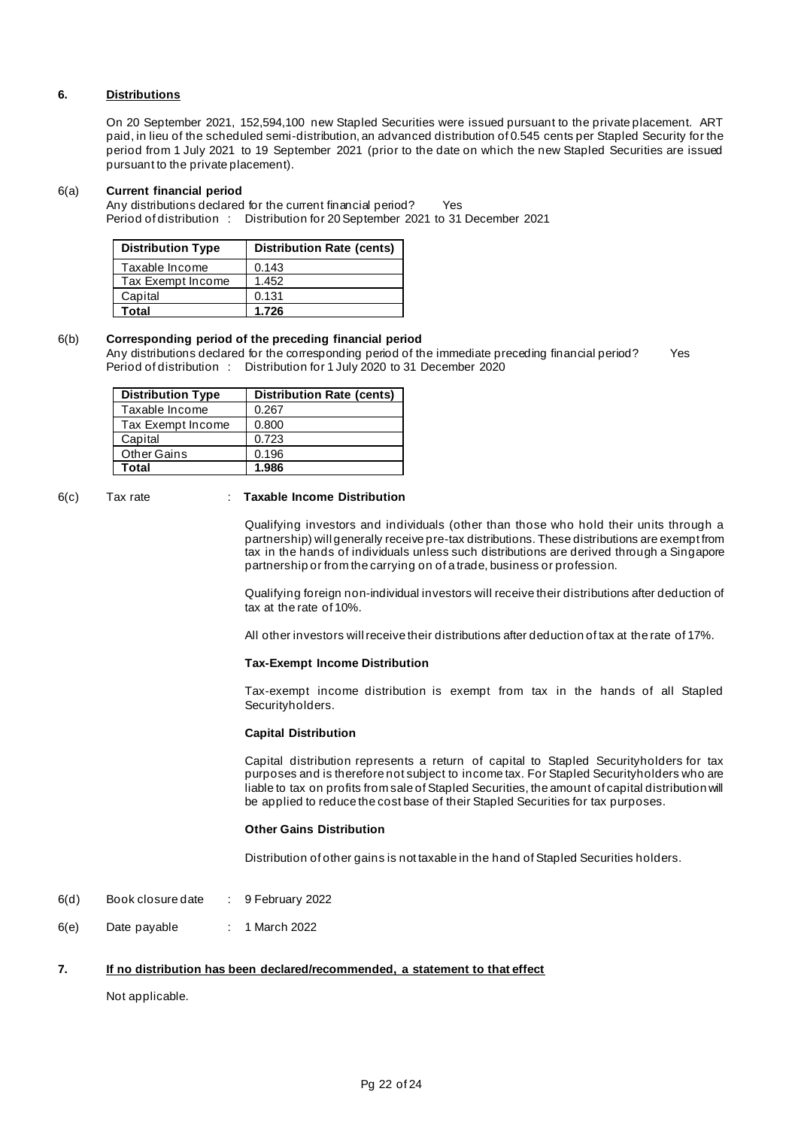## **6. Distributions**

On 20 September 2021, 152,594,100 new Stapled Securities were issued pursuant to the private placement. ART paid, in lieu of the scheduled semi-distribution, an advanced distribution of 0.545 cents per Stapled Security for the period from 1 July 2021 to 19 September 2021 (prior to the date on which the new Stapled Securities are issued pursuant to the private placement).

#### 6(a) **Current financial period**

Any distributions declared for the current financial period? Yes Period of distribution : Distribution for 20 September 2021 to 31 December 2021

| <b>Distribution Type</b> | <b>Distribution Rate (cents)</b> |
|--------------------------|----------------------------------|
| Taxable Income           | 0.143                            |
| Tax Exempt Income        | 1.452                            |
| Capital                  | 0.131                            |
| Total                    | 1.726                            |

## 6(b) **Corresponding period of the preceding financial period**

Any distributions declared for the corresponding period of the immediate preceding financial period? Yes Period of distribution : Distribution for 1 July 2020 to 31 December 2020

| <b>Distribution Type</b> | <b>Distribution Rate (cents)</b> |
|--------------------------|----------------------------------|
| Taxable Income           | 0.267                            |
| Tax Exempt Income        | 0.800                            |
| Capital                  | 0.723                            |
| <b>Other Gains</b>       | 0.196                            |
| Total                    | 1.986                            |

## 6(c) Tax rate : **Taxable Income Distribution**

Qualifying investors and individuals (other than those who hold their units through a partnership) will generally receive pre-tax distributions. These distributions are exempt from tax in the hands of individuals unless such distributions are derived through a Singapore partnership or from the carrying on of a trade, business or profession.

Qualifying foreign non-individual investors will receive their distributions after deduction of tax at the rate of 10%.

All other investors will receive their distributions after deduction of tax at the rate of 17%.

#### **Tax-Exempt Income Distribution**

Tax-exempt income distribution is exempt from tax in the hands of all Stapled Securityholders.

#### **Capital Distribution**

Capital distribution represents a return of capital to Stapled Securityholders for tax purposes and is therefore not subject to income tax. For Stapled Securityholders who are liable to tax on profits from sale of Stapled Securities, the amount of capital distribution will be applied to reduce the cost base of their Stapled Securities for tax purposes.

#### **Other Gains Distribution**

Distribution of other gains is not taxable in the hand of Stapled Securities holders.

- 6(d) Book closure date : 9 February 2022
- 6(e) Date payable : 1 March 2022

## **7. If no distribution has been declared/recommended, a statement to that effect**

### Not applicable.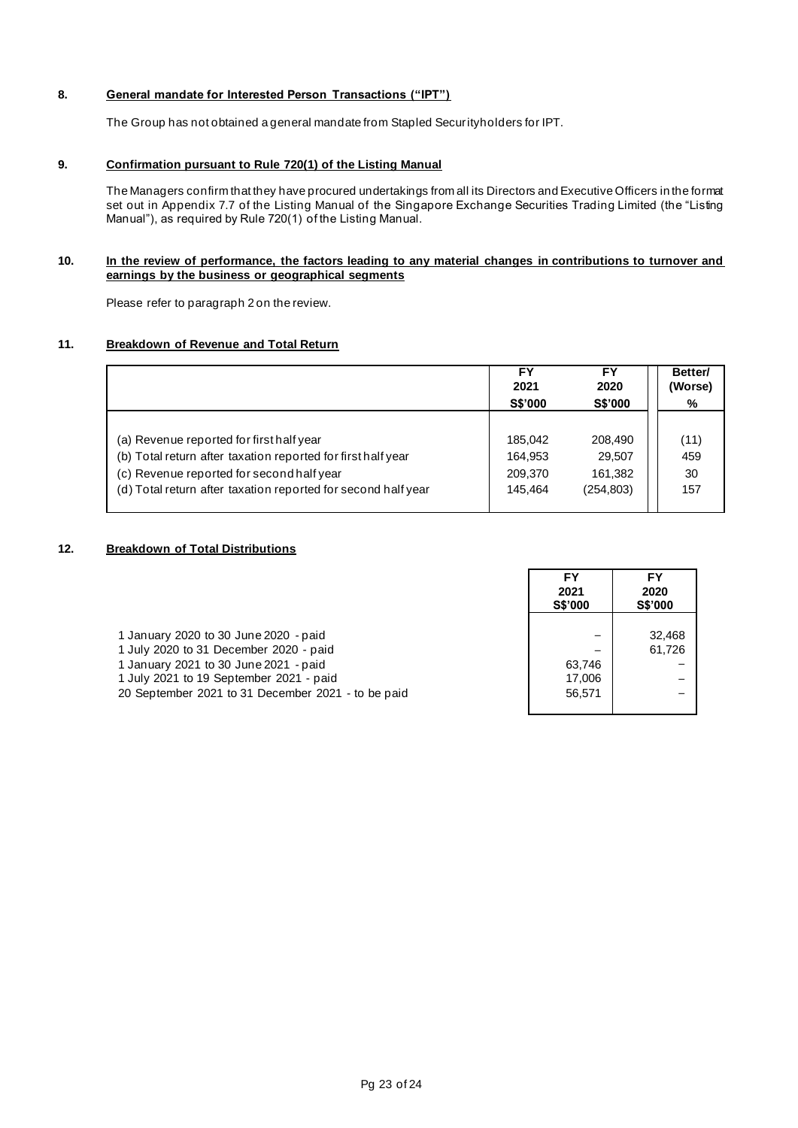## **8. General mandate for Interested Person Transactions ("IPT")**

The Group has not obtained a general mandate from Stapled Securityholders for IPT.

## **9. Confirmation pursuant to Rule 720(1) of the Listing Manual**

The Managers confirm that they have procured undertakings from all its Directors and Executive Officers in the format set out in Appendix 7.7 of the Listing Manual of the Singapore Exchange Securities Trading Limited (the "Listing Manual"), as required by Rule 720(1) of the Listing Manual.

## **10. In the review of performance, the factors leading to any material changes in contributions to turnover and earnings by the business or geographical segments**

Please refer to paragraph 2 on the review.

## **11. Breakdown of Revenue and Total Return**

|                                                               | FΥ             | FY             | Better/ |
|---------------------------------------------------------------|----------------|----------------|---------|
|                                                               | 2021           | 2020           | (Worse) |
|                                                               | <b>S\$'000</b> | <b>S\$'000</b> | %       |
|                                                               |                |                |         |
| (a) Revenue reported for first half year                      | 185,042        | 208,490        | (11)    |
| (b) Total return after taxation reported for first half year  | 164.953        | 29.507         | 459     |
| (c) Revenue reported for second half year                     | 209,370        | 161.382        | 30      |
| (d) Total return after taxation reported for second half year | 145.464        | (254.803)      | 157     |

## **12. Breakdown of Total Distributions**

|                                                                                                                                                                                                                           | FY<br>2021<br><b>S\$'000</b> | FY<br>2020<br><b>S\$'000</b> |
|---------------------------------------------------------------------------------------------------------------------------------------------------------------------------------------------------------------------------|------------------------------|------------------------------|
| 1 January 2020 to 30 June 2020 - paid<br>1 July 2020 to 31 December 2020 - paid<br>1 January 2021 to 30 June 2021 - paid<br>1 July 2021 to 19 September 2021 - paid<br>20 September 2021 to 31 December 2021 - to be paid | 63.746<br>17,006<br>56.571   | 32.468<br>61.726             |